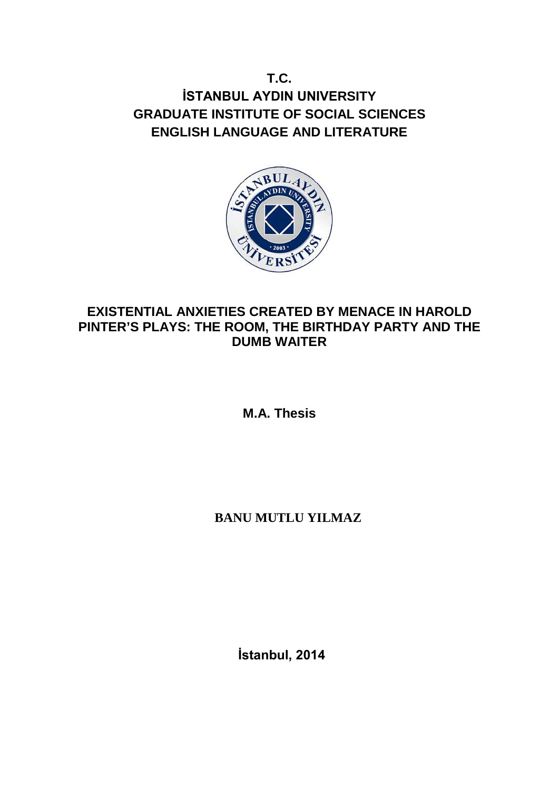**T.C. İSTANBUL AYDIN UNIVERSITY GRADUATE INSTITUTE OF SOCIAL SCIENCES ENGLISH LANGUAGE AND LITERATURE**



# **EXISTENTIAL ANXIETIES CREATED BY MENACE IN HAROLD PINTER'S PLAYS: THE ROOM, THE BIRTHDAY PARTY AND THE DUMB WAITER**

**M.A. Thesis**

# **BANU MUTLU YILMAZ**

 **İstanbul, 2014**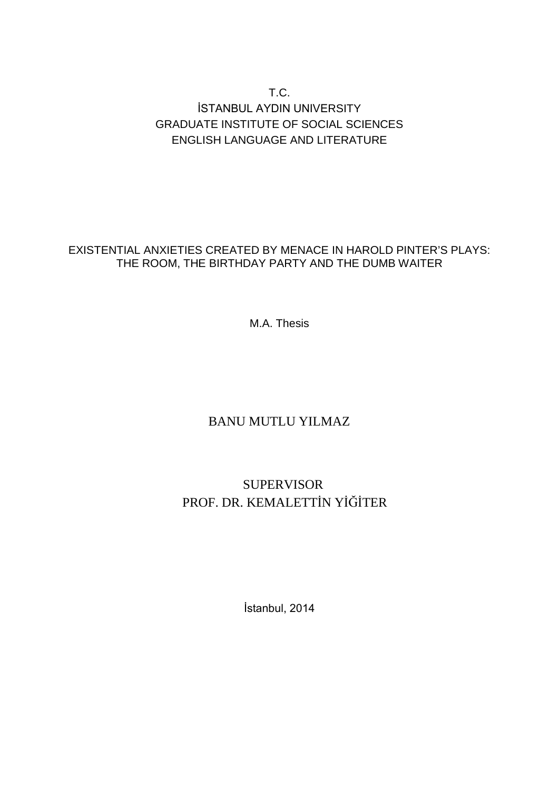## T.C. İSTANBUL AYDIN UNIVERSITY GRADUATE INSTITUTE OF SOCIAL SCIENCES ENGLISH LANGUAGE AND LITERATURE

## EXISTENTIAL ANXIETIES CREATED BY MENACE IN HAROLD PINTER'S PLAYS: THE ROOM, THE BIRTHDAY PARTY AND THE DUMB WAITER

M.A. Thesis

# BANU MUTLU YILMAZ

# SUPERVISOR PROF. DR. KEMALETTİN YİĞİTER

İstanbul, 2014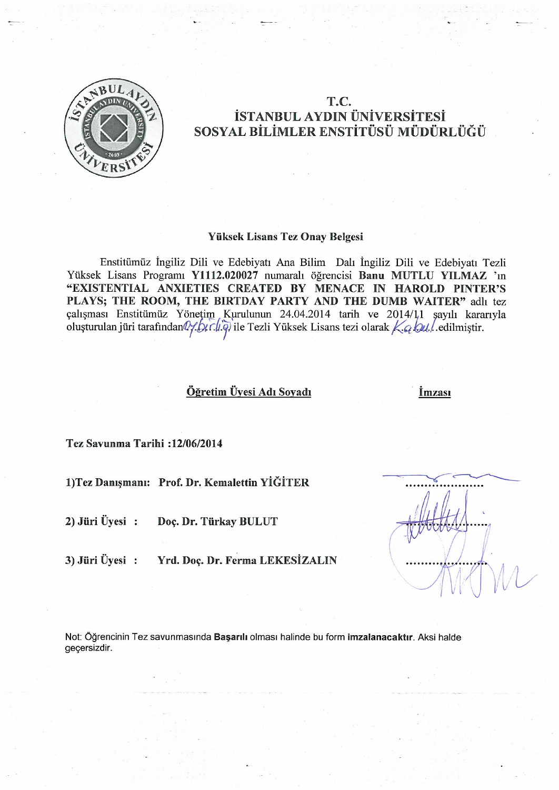

## T.C. İSTANBUL AYDIN ÜNİVERSİTESİ SOSYAL BİLİMLER ENSTİTÜSÜ MÜDÜRLÜĞÜ

#### Yüksek Lisans Tez Onay Belgesi

Enstitümüz İngiliz Dili ve Edebiyatı Ana Bilim Dalı İngiliz Dili ve Edebiyatı Tezli Yüksek Lisans Programı Y1112.020027 numaralı öğrencisi Banu MUTLU YILMAZ 'ın "EXISTENTIAL ANXIETIES CREATED BY MENACE IN HAROLD PINTER'S PLAYS; THE ROOM, THE BIRTDAY PARTY AND THE DUMB WAITER" adh tez çalışması Enstitümüz Yönetim Kurulunun 24.04.2014 tarih ve 2014/11 şayılı kararıyla oluşturulan jüri tarafından $\mathbb{Q}$ : bir (i, q) ile Tezli Yüksek Lisans tezi olarak Ka bul edilmiştir.

### Öğretim Üyesi Adı Soyadı

İmzası

Tez Savunma Tarihi: 12/06/2014

1) Tez Danışmanı: Prof. Dr. Kemalettin YİĞİTER

 $2)$  Jüri Üyesi: Doc. Dr. Türkay BULUT

 $3)$  Jüri Üvesi: Yrd. Doç. Dr. Ferma LEKESİZALIN

Not: Öğrencinin Tez savunmasında Başarılı olması halinde bu form imzalanacaktır. Aksi halde geçersizdir.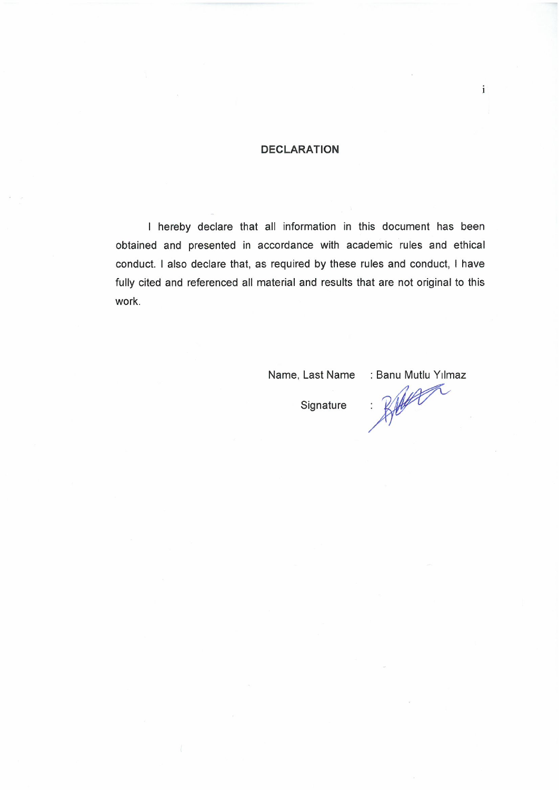### **DECLARATION**

I hereby declare that all information in this document has been obtained and presented in accordance with academic rules and ethical conduct. I also declare that, as required by these rules and conduct, I have fully cited and referenced all material and results that are not original to this work.

Name, Last Name

: Banu Mutlu Yılmaz

 $\mathbf{i}$ 

Signature

Brayan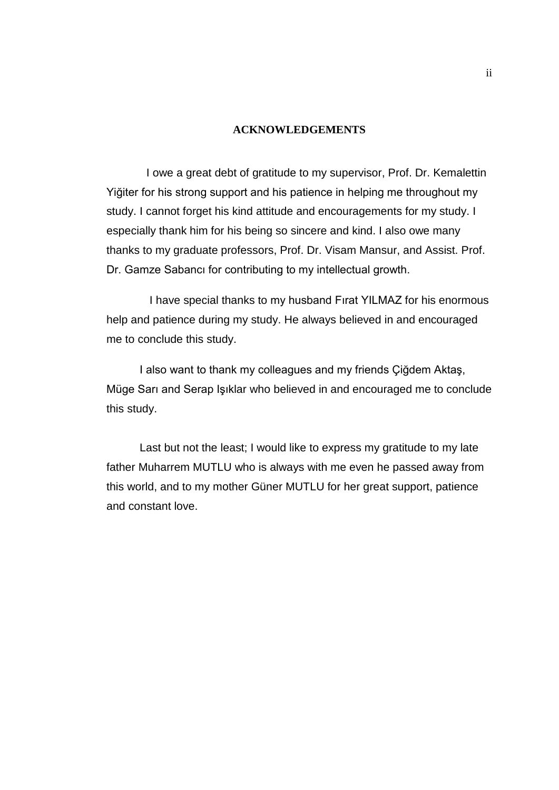#### **ACKNOWLEDGEMENTS**

<span id="page-5-0"></span>I owe a great debt of gratitude to my supervisor, Prof. Dr. Kemalettin Yiğiter for his strong support and his patience in helping me throughout my study. I cannot forget his kind attitude and encouragements for my study. I especially thank him for his being so sincere and kind. I also owe many thanks to my graduate professors, Prof. Dr. Visam Mansur, and Assist. Prof. Dr. Gamze Sabancı for contributing to my intellectual growth.

I have special thanks to my husband Fırat YILMAZ for his enormous help and patience during my study. He always believed in and encouraged me to conclude this study.

I also want to thank my colleagues and my friends Çiğdem Aktaş, Müge Sarı and Serap Işıklar who believed in and encouraged me to conclude this study.

Last but not the least; I would like to express my gratitude to my late father Muharrem MUTLU who is always with me even he passed away from this world, and to my mother Güner MUTLU for her great support, patience and constant love.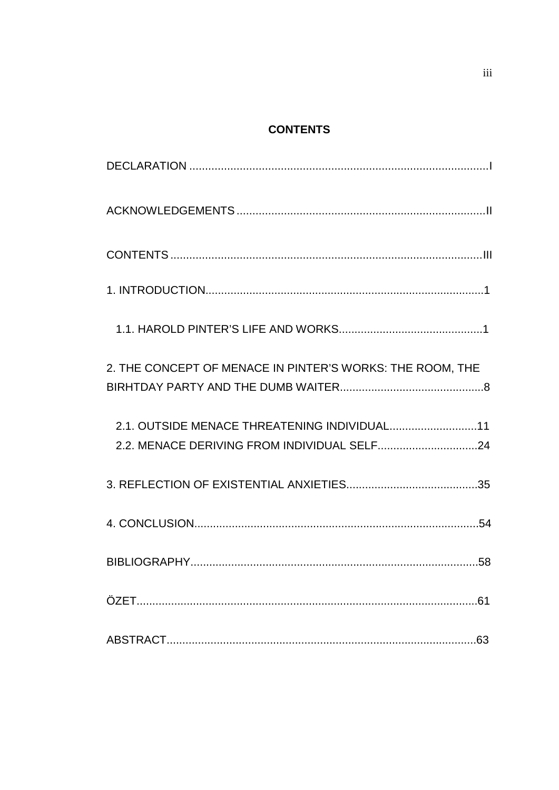## **CONTENTS**

<span id="page-6-0"></span>

| 2. THE CONCEPT OF MENACE IN PINTER'S WORKS: THE ROOM, THE |
|-----------------------------------------------------------|
| 2.1. OUTSIDE MENACE THREATENING INDIVIDUAL11              |
|                                                           |
|                                                           |
|                                                           |
|                                                           |
| 63                                                        |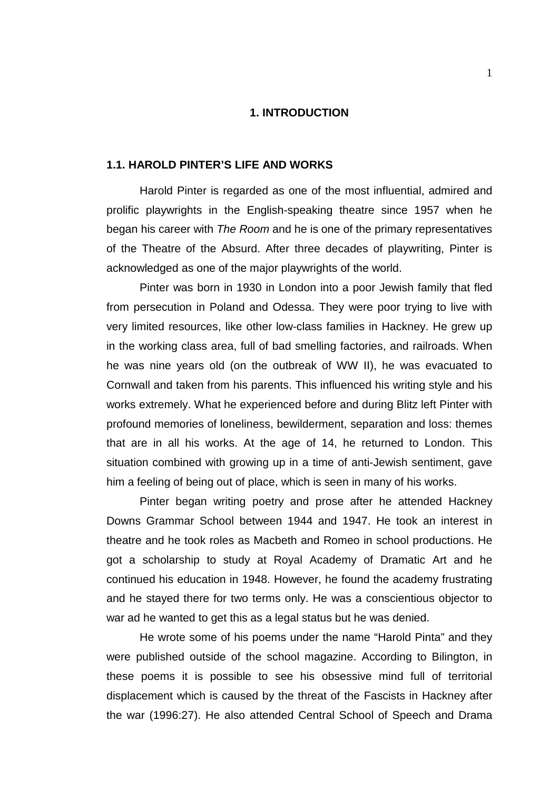#### **1. INTRODUCTION**

#### **1.1. HAROLD PINTER'S LIFE AND WORKS**

Harold Pinter is regarded as one of the most influential, admired and prolific playwrights in the English-speaking theatre since 1957 when he began his career with *The Room* and he is one of the primary representatives of the Theatre of the Absurd. After three decades of playwriting, Pinter is acknowledged as one of the major playwrights of the world.

Pinter was born in 1930 in London into a poor Jewish family that fled from persecution in Poland and Odessa. They were poor trying to live with very limited resources, like other low-class families in Hackney. He grew up in the working class area, full of bad smelling factories, and railroads. When he was nine years old (on the outbreak of WW II), he was evacuated to Cornwall and taken from his parents. This influenced his writing style and his works extremely. What he experienced before and during Blitz left Pinter with profound memories of loneliness, bewilderment, separation and loss: themes that are in all his works. At the age of 14, he returned to London. This situation combined with growing up in a time of anti-Jewish sentiment, gave him a feeling of being out of place, which is seen in many of his works.

Pinter began writing poetry and prose after he attended Hackney Downs Grammar School between 1944 and 1947. He took an interest in theatre and he took roles as Macbeth and Romeo in school productions. He got a scholarship to study at Royal Academy of Dramatic Art and he continued his education in 1948. However, he found the academy frustrating and he stayed there for two terms only. He was a conscientious objector to war ad he wanted to get this as a legal status but he was denied.

He wrote some of his poems under the name "Harold Pinta" and they were published outside of the school magazine. According to Bilington, in these poems it is possible to see his obsessive mind full of territorial displacement which is caused by the threat of the Fascists in Hackney after the war (1996:27). He also attended Central School of Speech and Drama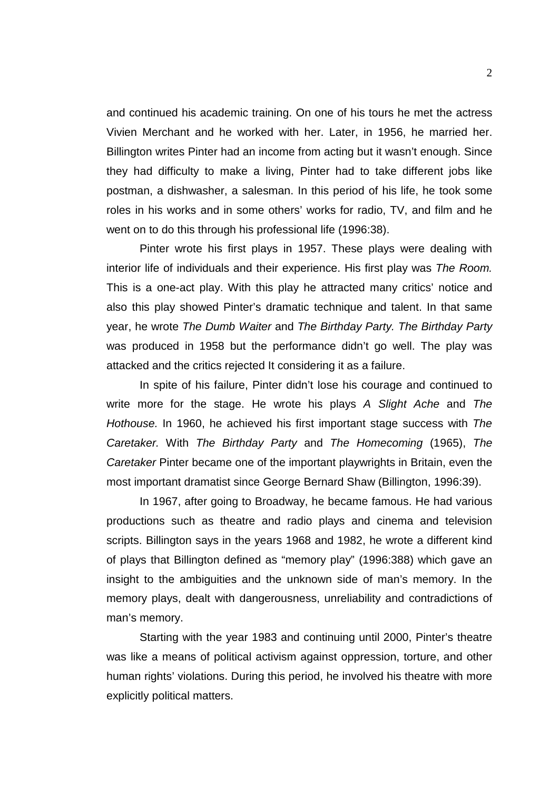and continued his academic training. On one of his tours he met the actress Vivien Merchant and he worked with her. Later, in 1956, he married her. Billington writes Pinter had an income from acting but it wasn't enough. Since they had difficulty to make a living, Pinter had to take different jobs like postman, a dishwasher, a salesman. In this period of his life, he took some roles in his works and in some others' works for radio, TV, and film and he went on to do this through his professional life (1996:38).

Pinter wrote his first plays in 1957. These plays were dealing with interior life of individuals and their experience. His first play was *The Room.* This is a one-act play. With this play he attracted many critics' notice and also this play showed Pinter's dramatic technique and talent. In that same year, he wrote *The Dumb Waiter* and *The Birthday Party. The Birthday Party*  was produced in 1958 but the performance didn't go well. The play was attacked and the critics rejected It considering it as a failure.

In spite of his failure, Pinter didn't lose his courage and continued to write more for the stage. He wrote his plays *A Slight Ache* and *The Hothouse.* In 1960, he achieved his first important stage success with *The Caretaker.* With *The Birthday Party* and *The Homecoming* (1965), *The Caretaker* Pinter became one of the important playwrights in Britain, even the most important dramatist since George Bernard Shaw (Billington, 1996:39).

In 1967, after going to Broadway, he became famous. He had various productions such as theatre and radio plays and cinema and television scripts. Billington says in the years 1968 and 1982, he wrote a different kind of plays that Billington defined as "memory play" (1996:388) which gave an insight to the ambiguities and the unknown side of man's memory. In the memory plays, dealt with dangerousness, unreliability and contradictions of man's memory.

Starting with the year 1983 and continuing until 2000, Pinter's theatre was like a means of political activism against oppression, torture, and other human rights' violations. During this period, he involved his theatre with more explicitly political matters.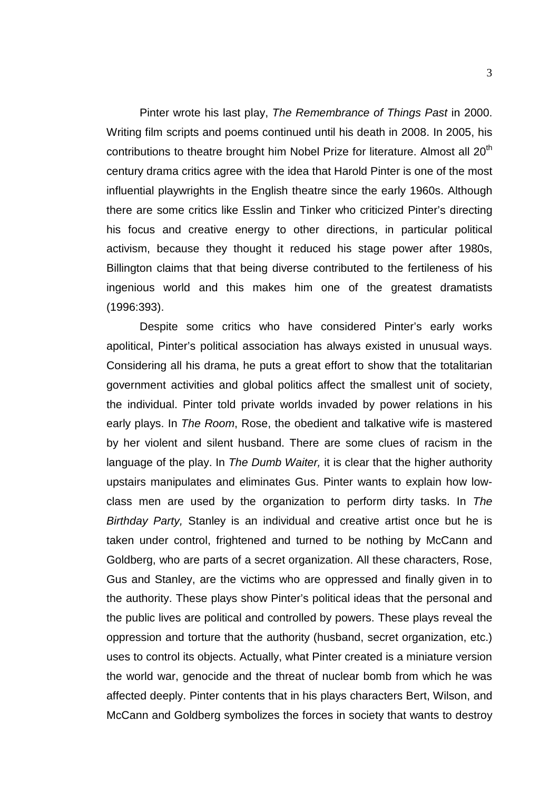Pinter wrote his last play, *The Remembrance of Things Past* in 2000. Writing film scripts and poems continued until his death in 2008. In 2005, his contributions to theatre brought him Nobel Prize for literature. Almost all 20<sup>th</sup> century drama critics agree with the idea that Harold Pinter is one of the most influential playwrights in the English theatre since the early 1960s. Although there are some critics like Esslin and Tinker who criticized Pinter's directing his focus and creative energy to other directions, in particular political activism, because they thought it reduced his stage power after 1980s, Billington claims that that being diverse contributed to the fertileness of his ingenious world and this makes him one of the greatest dramatists (1996:393).

Despite some critics who have considered Pinter's early works apolitical, Pinter's political association has always existed in unusual ways. Considering all his drama, he puts a great effort to show that the totalitarian government activities and global politics affect the smallest unit of society, the individual. Pinter told private worlds invaded by power relations in his early plays. In *The Room*, Rose, the obedient and talkative wife is mastered by her violent and silent husband. There are some clues of racism in the language of the play. In *The Dumb Waiter,* it is clear that the higher authority upstairs manipulates and eliminates Gus. Pinter wants to explain how lowclass men are used by the organization to perform dirty tasks. In *The Birthday Party,* Stanley is an individual and creative artist once but he is taken under control, frightened and turned to be nothing by McCann and Goldberg, who are parts of a secret organization. All these characters, Rose, Gus and Stanley, are the victims who are oppressed and finally given in to the authority. These plays show Pinter's political ideas that the personal and the public lives are political and controlled by powers. These plays reveal the oppression and torture that the authority (husband, secret organization, etc.) uses to control its objects. Actually, what Pinter created is a miniature version the world war, genocide and the threat of nuclear bomb from which he was affected deeply. Pinter contents that in his plays characters Bert, Wilson, and McCann and Goldberg symbolizes the forces in society that wants to destroy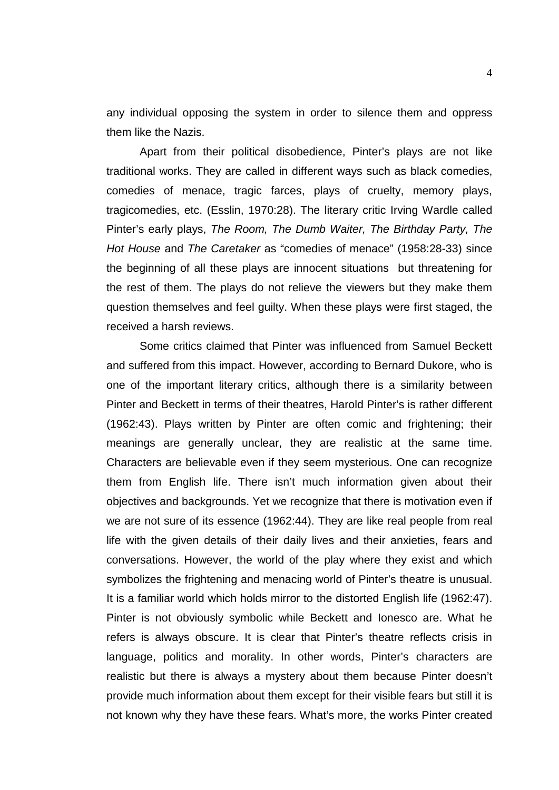any individual opposing the system in order to silence them and oppress them like the Nazis.

Apart from their political disobedience, Pinter's plays are not like traditional works. They are called in different ways such as black comedies, comedies of menace, tragic farces, plays of cruelty, memory plays, tragicomedies, etc. (Esslin, 1970:28). The literary critic Irving Wardle called Pinter's early plays, *The Room, The Dumb Waiter, The Birthday Party, The Hot House* and *The Caretaker* as "comedies of menace" (1958:28-33) since the beginning of all these plays are innocent situations but threatening for the rest of them. The plays do not relieve the viewers but they make them question themselves and feel guilty. When these plays were first staged, the received a harsh reviews.

Some critics claimed that Pinter was influenced from Samuel Beckett and suffered from this impact. However, according to Bernard Dukore, who is one of the important literary critics, although there is a similarity between Pinter and Beckett in terms of their theatres, Harold Pinter's is rather different (1962:43). Plays written by Pinter are often comic and frightening; their meanings are generally unclear, they are realistic at the same time. Characters are believable even if they seem mysterious. One can recognize them from English life. There isn't much information given about their objectives and backgrounds. Yet we recognize that there is motivation even if we are not sure of its essence (1962:44). They are like real people from real life with the given details of their daily lives and their anxieties, fears and conversations. However, the world of the play where they exist and which symbolizes the frightening and menacing world of Pinter's theatre is unusual. It is a familiar world which holds mirror to the distorted English life (1962:47). Pinter is not obviously symbolic while Beckett and Ionesco are. What he refers is always obscure. It is clear that Pinter's theatre reflects crisis in language, politics and morality. In other words, Pinter's characters are realistic but there is always a mystery about them because Pinter doesn't provide much information about them except for their visible fears but still it is not known why they have these fears. What's more, the works Pinter created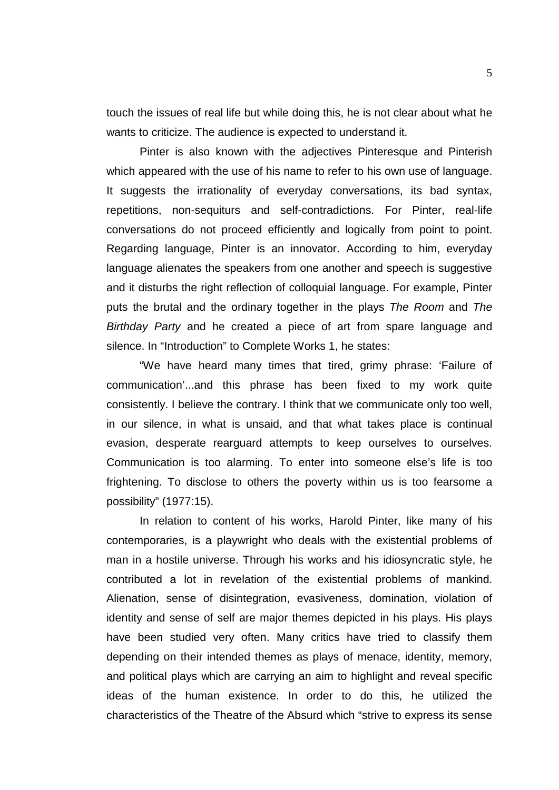touch the issues of real life but while doing this, he is not clear about what he wants to criticize. The audience is expected to understand it.

Pinter is also known with the adjectives Pinteresque and Pinterish which appeared with the use of his name to refer to his own use of language. It suggests the irrationality of everyday conversations, its bad syntax, repetitions, non-sequiturs and self-contradictions. For Pinter, real-life conversations do not proceed efficiently and logically from point to point. Regarding language, Pinter is an innovator. According to him, everyday language alienates the speakers from one another and speech is suggestive and it disturbs the right reflection of colloquial language. For example, Pinter puts the brutal and the ordinary together in the plays *The Room* and *The Birthday Party* and he created a piece of art from spare language and silence. In "Introduction" to Complete Works 1, he states:

"We have heard many times that tired, grimy phrase: 'Failure of communication'...and this phrase has been fixed to my work quite consistently. I believe the contrary. I think that we communicate only too well, in our silence, in what is unsaid, and that what takes place is continual evasion, desperate rearguard attempts to keep ourselves to ourselves. Communication is too alarming. To enter into someone else's life is too frightening. To disclose to others the poverty within us is too fearsome a possibility" (1977:15).

In relation to content of his works, Harold Pinter, like many of his contemporaries, is a playwright who deals with the existential problems of man in a hostile universe. Through his works and his idiosyncratic style, he contributed a lot in revelation of the existential problems of mankind. Alienation, sense of disintegration, evasiveness, domination, violation of identity and sense of self are major themes depicted in his plays. His plays have been studied very often. Many critics have tried to classify them depending on their intended themes as plays of menace, identity, memory, and political plays which are carrying an aim to highlight and reveal specific ideas of the human existence. In order to do this, he utilized the characteristics of the Theatre of the Absurd which "strive to express its sense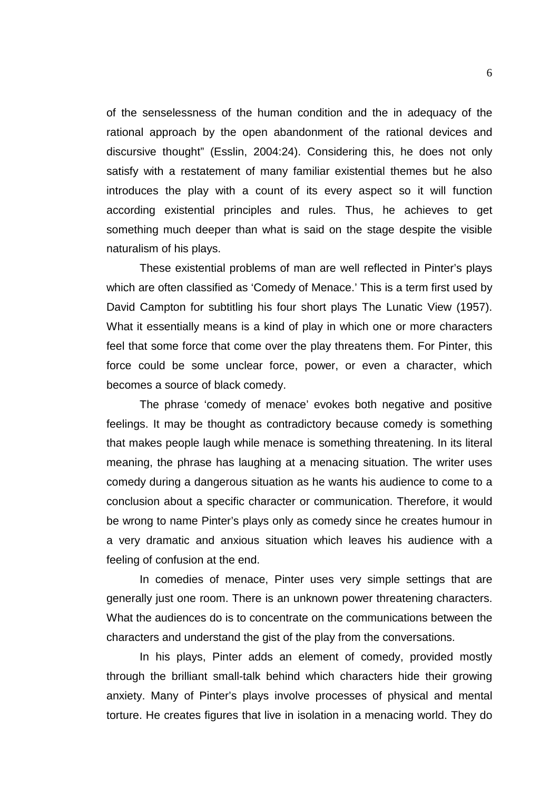of the senselessness of the human condition and the in adequacy of the rational approach by the open abandonment of the rational devices and discursive thought" (Esslin, 2004:24). Considering this, he does not only satisfy with a restatement of many familiar existential themes but he also introduces the play with a count of its every aspect so it will function according existential principles and rules. Thus, he achieves to get something much deeper than what is said on the stage despite the visible naturalism of his plays.

These existential problems of man are well reflected in Pinter's plays which are often classified as 'Comedy of Menace.' This is a term first used by David Campton for subtitling his four short plays The Lunatic View (1957). What it essentially means is a kind of play in which one or more characters feel that some force that come over the play threatens them. For Pinter, this force could be some unclear force, power, or even a character, which becomes a source of black comedy.

The phrase 'comedy of menace' evokes both negative and positive feelings. It may be thought as contradictory because comedy is something that makes people laugh while menace is something threatening. In its literal meaning, the phrase has laughing at a menacing situation. The writer uses comedy during a dangerous situation as he wants his audience to come to a conclusion about a specific character or communication. Therefore, it would be wrong to name Pinter's plays only as comedy since he creates humour in a very dramatic and anxious situation which leaves his audience with a feeling of confusion at the end.

In comedies of menace, Pinter uses very simple settings that are generally just one room. There is an unknown power threatening characters. What the audiences do is to concentrate on the communications between the characters and understand the gist of the play from the conversations.

In his plays, Pinter adds an element of comedy, provided mostly through the brilliant small-talk behind which characters hide their growing anxiety. Many of Pinter's plays involve processes of physical and mental torture. He creates figures that live in isolation in a menacing world. They do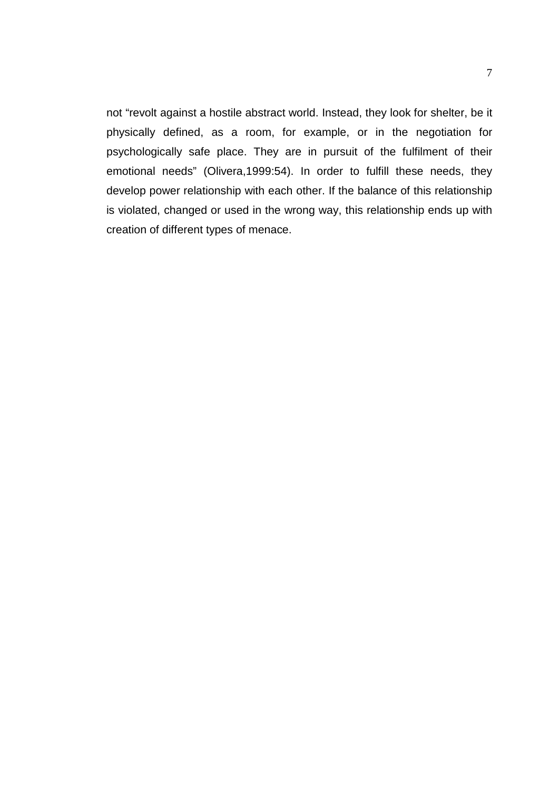not "revolt against a hostile abstract world. Instead, they look for shelter, be it physically defined, as a room, for example, or in the negotiation for psychologically safe place. They are in pursuit of the fulfilment of their emotional needs" (Olivera,1999:54). In order to fulfill these needs, they develop power relationship with each other. If the balance of this relationship is violated, changed or used in the wrong way, this relationship ends up with creation of different types of menace.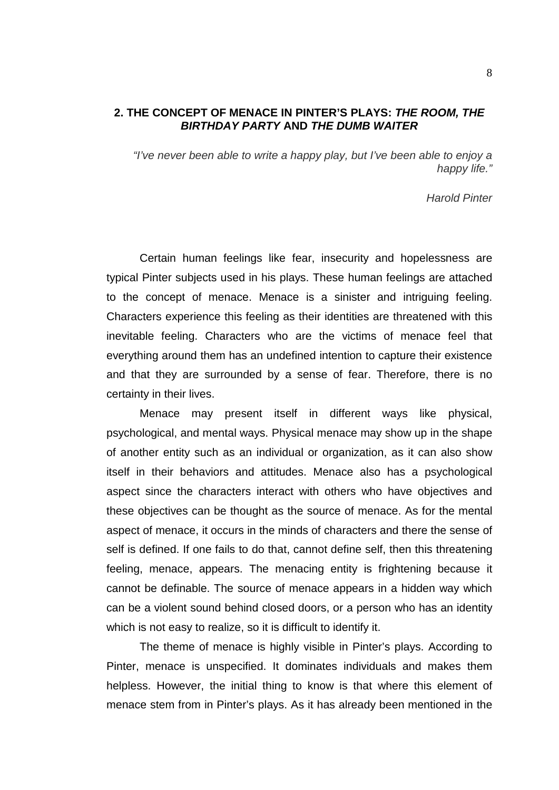#### **2. THE CONCEPT OF MENACE IN PINTER'S PLAYS:** *THE ROOM, THE BIRTHDAY PARTY* **AND** *THE DUMB WAITER*

*"I've never been able to write a happy play, but I've been able to enjoy a happy life."* 

*Harold Pinter*

Certain human feelings like fear, insecurity and hopelessness are typical Pinter subjects used in his plays. These human feelings are attached to the concept of menace. Menace is a sinister and intriguing feeling. Characters experience this feeling as their identities are threatened with this inevitable feeling. Characters who are the victims of menace feel that everything around them has an undefined intention to capture their existence and that they are surrounded by a sense of fear. Therefore, there is no certainty in their lives.

Menace may present itself in different ways like physical, psychological, and mental ways. Physical menace may show up in the shape of another entity such as an individual or organization, as it can also show itself in their behaviors and attitudes. Menace also has a psychological aspect since the characters interact with others who have objectives and these objectives can be thought as the source of menace. As for the mental aspect of menace, it occurs in the minds of characters and there the sense of self is defined. If one fails to do that, cannot define self, then this threatening feeling, menace, appears. The menacing entity is frightening because it cannot be definable. The source of menace appears in a hidden way which can be a violent sound behind closed doors, or a person who has an identity which is not easy to realize, so it is difficult to identify it.

The theme of menace is highly visible in Pinter's plays. According to Pinter, menace is unspecified. It dominates individuals and makes them helpless. However, the initial thing to know is that where this element of menace stem from in Pinter's plays. As it has already been mentioned in the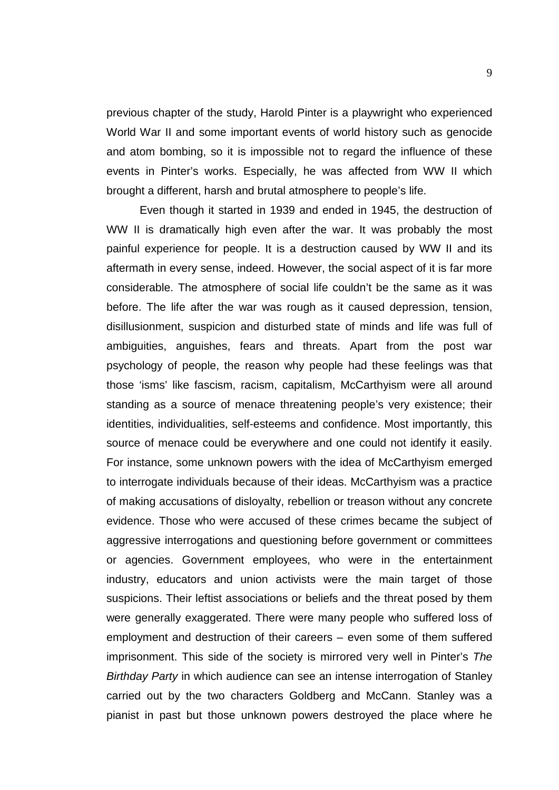previous chapter of the study, Harold Pinter is a playwright who experienced World War II and some important events of world history such as genocide and atom bombing, so it is impossible not to regard the influence of these events in Pinter's works. Especially, he was affected from WW II which brought a different, harsh and brutal atmosphere to people's life.

Even though it started in 1939 and ended in 1945, the destruction of WW II is dramatically high even after the war. It was probably the most painful experience for people. It is a destruction caused by WW II and its aftermath in every sense, indeed. However, the social aspect of it is far more considerable. The atmosphere of social life couldn't be the same as it was before. The life after the war was rough as it caused depression, tension, disillusionment, suspicion and disturbed state of minds and life was full of ambiguities, anguishes, fears and threats. Apart from the post war psychology of people, the reason why people had these feelings was that those 'isms' like fascism, racism, capitalism, McCarthyism were all around standing as a source of menace threatening people's very existence; their identities, individualities, self-esteems and confidence. Most importantly, this source of menace could be everywhere and one could not identify it easily. For instance, some unknown powers with the idea of McCarthyism emerged to interrogate individuals because of their ideas. McCarthyism was a practice of making accusations of disloyalty, rebellion or treason without any concrete evidence. Those who were accused of these crimes became the subject of aggressive interrogations and questioning before government or committees or agencies. Government employees, who were in the entertainment industry, educators and union activists were the main target of those suspicions. Their leftist associations or beliefs and the threat posed by them were generally exaggerated. There were many people who suffered loss of employment and destruction of their careers – even some of them suffered imprisonment. This side of the society is mirrored very well in Pinter's *The Birthday Party* in which audience can see an intense interrogation of Stanley carried out by the two characters Goldberg and McCann. Stanley was a pianist in past but those unknown powers destroyed the place where he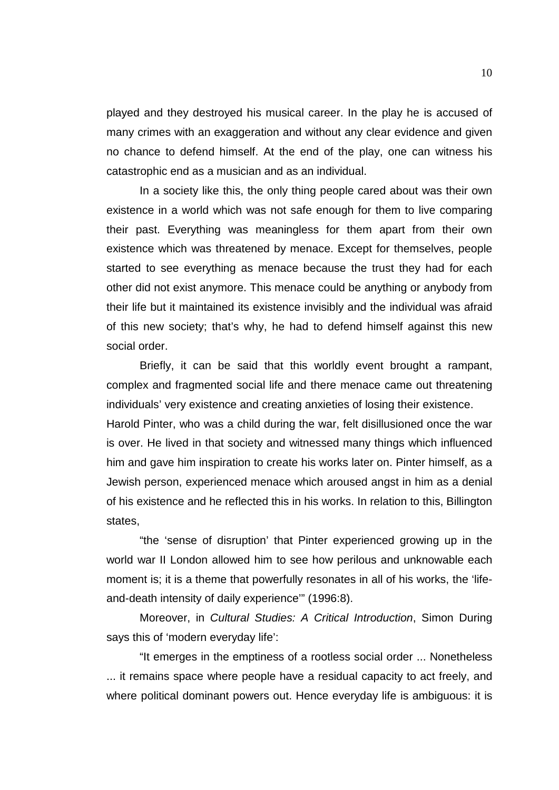played and they destroyed his musical career. In the play he is accused of many crimes with an exaggeration and without any clear evidence and given no chance to defend himself. At the end of the play, one can witness his catastrophic end as a musician and as an individual.

In a society like this, the only thing people cared about was their own existence in a world which was not safe enough for them to live comparing their past. Everything was meaningless for them apart from their own existence which was threatened by menace. Except for themselves, people started to see everything as menace because the trust they had for each other did not exist anymore. This menace could be anything or anybody from their life but it maintained its existence invisibly and the individual was afraid of this new society; that's why, he had to defend himself against this new social order.

Briefly, it can be said that this worldly event brought a rampant, complex and fragmented social life and there menace came out threatening individuals' very existence and creating anxieties of losing their existence.

Harold Pinter, who was a child during the war, felt disillusioned once the war is over. He lived in that society and witnessed many things which influenced him and gave him inspiration to create his works later on. Pinter himself, as a Jewish person, experienced menace which aroused angst in him as a denial of his existence and he reflected this in his works. In relation to this, Billington states,

"the 'sense of disruption' that Pinter experienced growing up in the world war II London allowed him to see how perilous and unknowable each moment is; it is a theme that powerfully resonates in all of his works, the 'lifeand-death intensity of daily experience'" (1996:8).

Moreover, in *Cultural Studies: A Critical Introduction*, Simon During says this of 'modern everyday life':

"It emerges in the emptiness of a rootless social order ... Nonetheless ... it remains space where people have a residual capacity to act freely, and where political dominant powers out. Hence everyday life is ambiguous: it is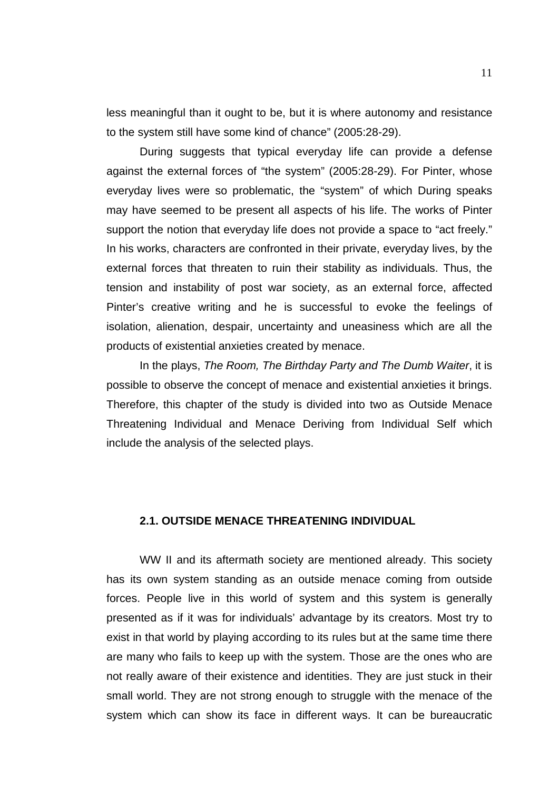less meaningful than it ought to be, but it is where autonomy and resistance to the system still have some kind of chance" (2005:28-29).

During suggests that typical everyday life can provide a defense against the external forces of "the system" (2005:28-29). For Pinter, whose everyday lives were so problematic, the "system" of which During speaks may have seemed to be present all aspects of his life. The works of Pinter support the notion that everyday life does not provide a space to "act freely." In his works, characters are confronted in their private, everyday lives, by the external forces that threaten to ruin their stability as individuals. Thus, the tension and instability of post war society, as an external force, affected Pinter's creative writing and he is successful to evoke the feelings of isolation, alienation, despair, uncertainty and uneasiness which are all the products of existential anxieties created by menace.

In the plays, *The Room, The Birthday Party and The Dumb Waiter*, it is possible to observe the concept of menace and existential anxieties it brings. Therefore, this chapter of the study is divided into two as Outside Menace Threatening Individual and Menace Deriving from Individual Self which include the analysis of the selected plays.

### **2.1. OUTSIDE MENACE THREATENING INDIVIDUAL**

WW II and its aftermath society are mentioned already. This society has its own system standing as an outside menace coming from outside forces. People live in this world of system and this system is generally presented as if it was for individuals' advantage by its creators. Most try to exist in that world by playing according to its rules but at the same time there are many who fails to keep up with the system. Those are the ones who are not really aware of their existence and identities. They are just stuck in their small world. They are not strong enough to struggle with the menace of the system which can show its face in different ways. It can be bureaucratic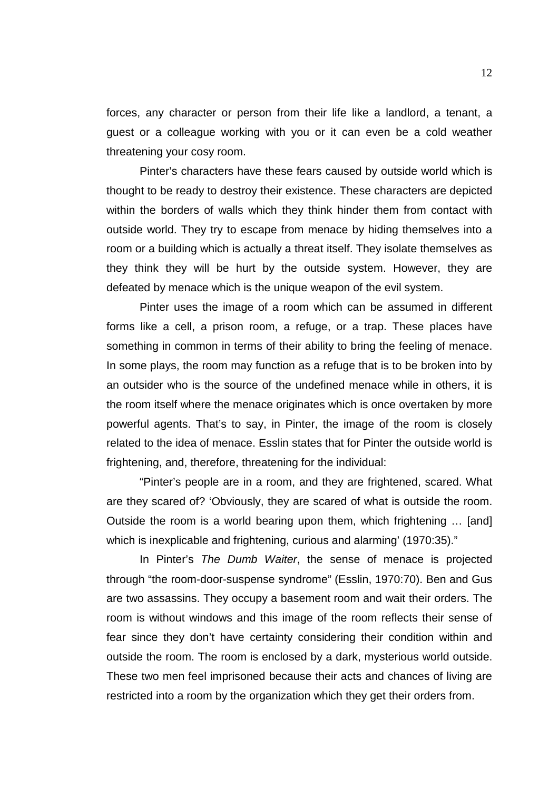forces, any character or person from their life like a landlord, a tenant, a guest or a colleague working with you or it can even be a cold weather threatening your cosy room.

Pinter's characters have these fears caused by outside world which is thought to be ready to destroy their existence. These characters are depicted within the borders of walls which they think hinder them from contact with outside world. They try to escape from menace by hiding themselves into a room or a building which is actually a threat itself. They isolate themselves as they think they will be hurt by the outside system. However, they are defeated by menace which is the unique weapon of the evil system.

Pinter uses the image of a room which can be assumed in different forms like a cell, a prison room, a refuge, or a trap. These places have something in common in terms of their ability to bring the feeling of menace. In some plays, the room may function as a refuge that is to be broken into by an outsider who is the source of the undefined menace while in others, it is the room itself where the menace originates which is once overtaken by more powerful agents. That's to say, in Pinter, the image of the room is closely related to the idea of menace. Esslin states that for Pinter the outside world is frightening, and, therefore, threatening for the individual:

"Pinter's people are in a room, and they are frightened, scared. What are they scared of? 'Obviously, they are scared of what is outside the room. Outside the room is a world bearing upon them, which frightening … [and] which is inexplicable and frightening, curious and alarming' (1970:35)."

In Pinter's *The Dumb Waiter*, the sense of menace is projected through "the room-door-suspense syndrome" (Esslin, 1970:70). Ben and Gus are two assassins. They occupy a basement room and wait their orders. The room is without windows and this image of the room reflects their sense of fear since they don't have certainty considering their condition within and outside the room. The room is enclosed by a dark, mysterious world outside. These two men feel imprisoned because their acts and chances of living are restricted into a room by the organization which they get their orders from.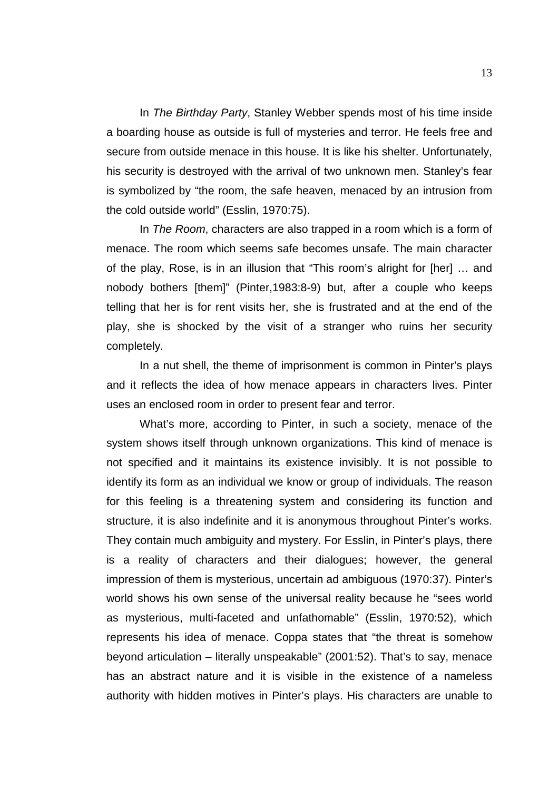In *The Birthday Party*, Stanley Webber spends most of his time inside a boarding house as outside is full of mysteries and terror. He feels free and secure from outside menace in this house. It is like his shelter. Unfortunately, his security is destroyed with the arrival of two unknown men. Stanley's fear is symbolized by "the room, the safe heaven, menaced by an intrusion from the cold outside world" (Esslin, 1970:75).

In *The Room*, characters are also trapped in a room which is a form of menace. The room which seems safe becomes unsafe. The main character of the play, Rose, is in an illusion that "This room's alright for [her] … and nobody bothers [them]" (Pinter,1983:8-9) but, after a couple who keeps telling that her is for rent visits her, she is frustrated and at the end of the play, she is shocked by the visit of a stranger who ruins her security completely.

In a nut shell, the theme of imprisonment is common in Pinter's plays and it reflects the idea of how menace appears in characters lives. Pinter uses an enclosed room in order to present fear and terror.

What's more, according to Pinter, in such a society, menace of the system shows itself through unknown organizations. This kind of menace is not specified and it maintains its existence invisibly. It is not possible to identify its form as an individual we know or group of individuals. The reason for this feeling is a threatening system and considering its function and structure, it is also indefinite and it is anonymous throughout Pinter's works. They contain much ambiguity and mystery. For Esslin, in Pinter's plays, there is a reality of characters and their dialogues; however, the general impression of them is mysterious, uncertain ad ambiguous (1970:37). Pinter's world shows his own sense of the universal reality because he "sees world as mysterious, multi-faceted and unfathomable" (Esslin, 1970:52), which represents his idea of menace. Coppa states that "the threat is somehow beyond articulation – literally unspeakable" (2001:52). That's to say, menace has an abstract nature and it is visible in the existence of a nameless authority with hidden motives in Pinter's plays. His characters are unable to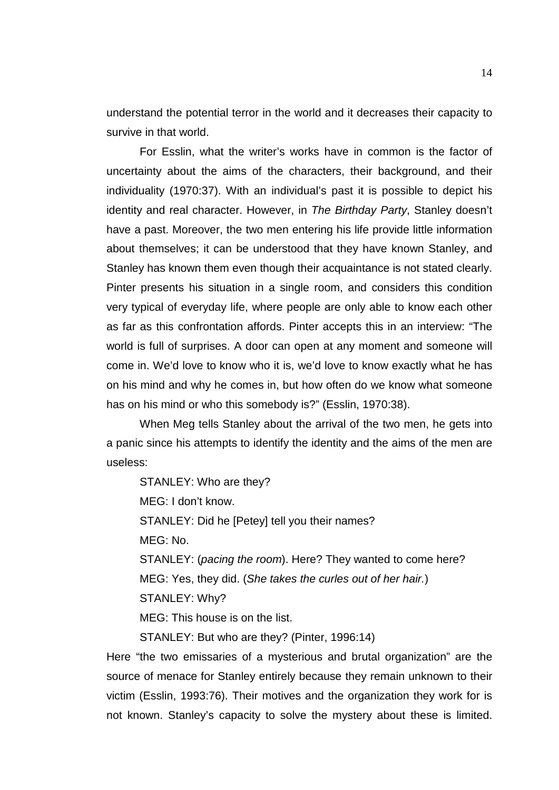understand the potential terror in the world and it decreases their capacity to survive in that world.

For Esslin, what the writer's works have in common is the factor of uncertainty about the aims of the characters, their background, and their individuality (1970:37). With an individual's past it is possible to depict his identity and real character. However, in *The Birthday Party*, Stanley doesn't have a past. Moreover, the two men entering his life provide little information about themselves; it can be understood that they have known Stanley, and Stanley has known them even though their acquaintance is not stated clearly. Pinter presents his situation in a single room, and considers this condition very typical of everyday life, where people are only able to know each other as far as this confrontation affords. Pinter accepts this in an interview: "The world is full of surprises. A door can open at any moment and someone will come in. We'd love to know who it is, we'd love to know exactly what he has on his mind and why he comes in, but how often do we know what someone has on his mind or who this somebody is?" (Esslin, 1970:38).

When Meg tells Stanley about the arrival of the two men, he gets into a panic since his attempts to identify the identity and the aims of the men are useless:

STANLEY: Who are they?

MEG: I don't know.

STANLEY: Did he [Petey] tell you their names?

MEG: No.

STANLEY: (*pacing the room*). Here? They wanted to come here? MEG: Yes, they did. (*She takes the curles out of her hair.*) STANLEY: Why?

MEG: This house is on the list.

STANLEY: But who are they? (Pinter, 1996:14)

Here "the two emissaries of a mysterious and brutal organization" are the source of menace for Stanley entirely because they remain unknown to their victim (Esslin, 1993:76). Their motives and the organization they work for is not known. Stanley's capacity to solve the mystery about these is limited.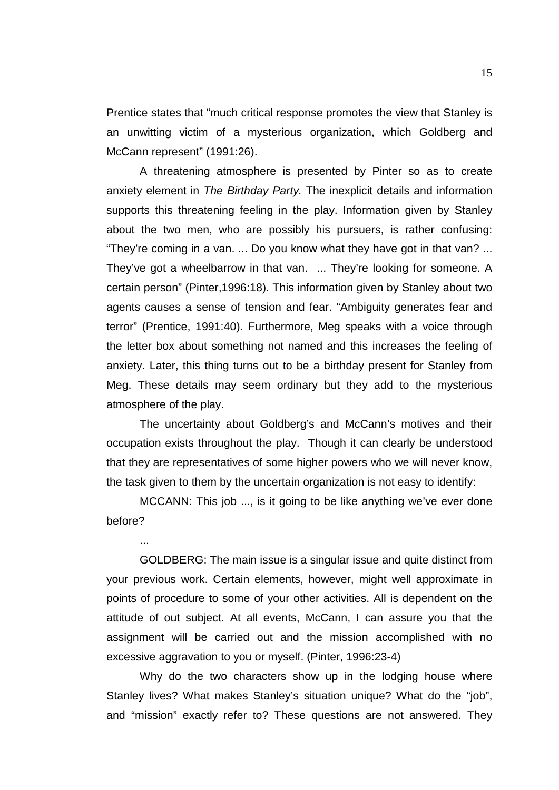Prentice states that "much critical response promotes the view that Stanley is an unwitting victim of a mysterious organization, which Goldberg and McCann represent" (1991:26).

A threatening atmosphere is presented by Pinter so as to create anxiety element in *The Birthday Party.* The inexplicit details and information supports this threatening feeling in the play. Information given by Stanley about the two men, who are possibly his pursuers, is rather confusing: "They're coming in a van. ... Do you know what they have got in that van? ... They've got a wheelbarrow in that van. ... They're looking for someone. A certain person" (Pinter,1996:18). This information given by Stanley about two agents causes a sense of tension and fear. "Ambiguity generates fear and terror" (Prentice, 1991:40). Furthermore, Meg speaks with a voice through the letter box about something not named and this increases the feeling of anxiety. Later, this thing turns out to be a birthday present for Stanley from Meg. These details may seem ordinary but they add to the mysterious atmosphere of the play.

The uncertainty about Goldberg's and McCann's motives and their occupation exists throughout the play. Though it can clearly be understood that they are representatives of some higher powers who we will never know, the task given to them by the uncertain organization is not easy to identify:

MCCANN: This job ..., is it going to be like anything we've ever done before?

...

GOLDBERG: The main issue is a singular issue and quite distinct from your previous work. Certain elements, however, might well approximate in points of procedure to some of your other activities. All is dependent on the attitude of out subject. At all events, McCann, I can assure you that the assignment will be carried out and the mission accomplished with no excessive aggravation to you or myself. (Pinter, 1996:23-4)

Why do the two characters show up in the lodging house where Stanley lives? What makes Stanley's situation unique? What do the "job", and "mission" exactly refer to? These questions are not answered. They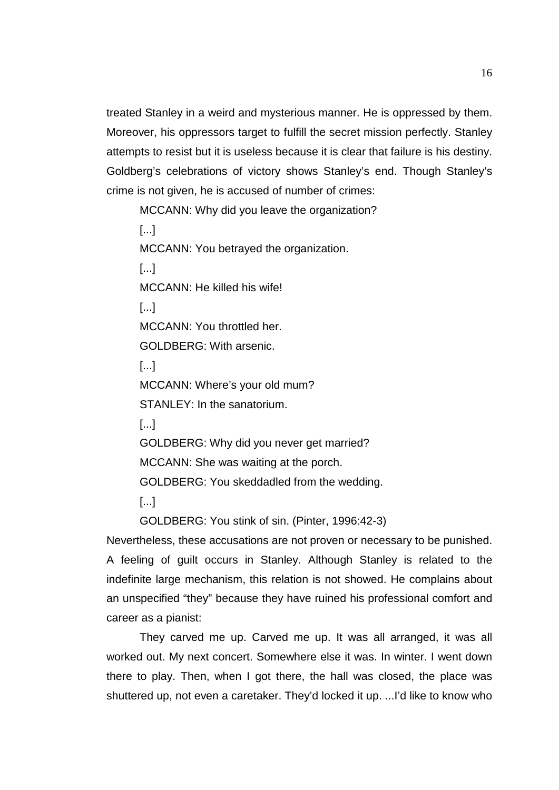treated Stanley in a weird and mysterious manner. He is oppressed by them. Moreover, his oppressors target to fulfill the secret mission perfectly. Stanley attempts to resist but it is useless because it is clear that failure is his destiny. Goldberg's celebrations of victory shows Stanley's end. Though Stanley's crime is not given, he is accused of number of crimes:

MCCANN: Why did you leave the organization?

[...] MCCANN: You betrayed the organization. [...] MCCANN: He killed his wife!  $[...]$ MCCANN: You throttled her. GOLDBERG: With arsenic.  $[...]$ MCCANN: Where's your old mum? STANLEY: In the sanatorium. [...] GOLDBERG: Why did you never get married? MCCANN: She was waiting at the porch.

GOLDBERG: You skeddadled from the wedding.

[...]

GOLDBERG: You stink of sin. (Pinter, 1996:42-3)

Nevertheless, these accusations are not proven or necessary to be punished. A feeling of guilt occurs in Stanley. Although Stanley is related to the indefinite large mechanism, this relation is not showed. He complains about an unspecified "they" because they have ruined his professional comfort and career as a pianist:

They carved me up. Carved me up. It was all arranged, it was all worked out. My next concert. Somewhere else it was. In winter. I went down there to play. Then, when I got there, the hall was closed, the place was shuttered up, not even a caretaker. They'd locked it up. ...I'd like to know who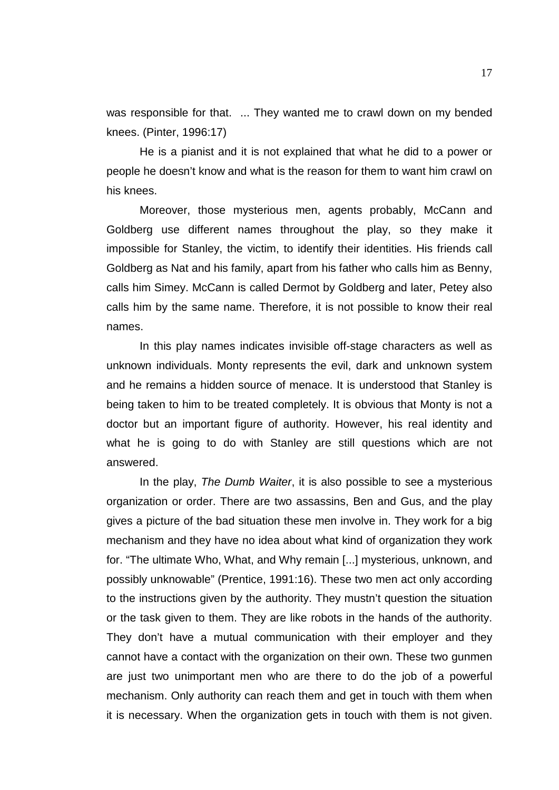was responsible for that. ... They wanted me to crawl down on my bended knees. (Pinter, 1996:17)

He is a pianist and it is not explained that what he did to a power or people he doesn't know and what is the reason for them to want him crawl on his knees.

Moreover, those mysterious men, agents probably, McCann and Goldberg use different names throughout the play, so they make it impossible for Stanley, the victim, to identify their identities. His friends call Goldberg as Nat and his family, apart from his father who calls him as Benny, calls him Simey. McCann is called Dermot by Goldberg and later, Petey also calls him by the same name. Therefore, it is not possible to know their real names.

In this play names indicates invisible off-stage characters as well as unknown individuals. Monty represents the evil, dark and unknown system and he remains a hidden source of menace. It is understood that Stanley is being taken to him to be treated completely. It is obvious that Monty is not a doctor but an important figure of authority. However, his real identity and what he is going to do with Stanley are still questions which are not answered.

In the play, *The Dumb Waiter*, it is also possible to see a mysterious organization or order. There are two assassins, Ben and Gus, and the play gives a picture of the bad situation these men involve in. They work for a big mechanism and they have no idea about what kind of organization they work for. "The ultimate Who, What, and Why remain [...] mysterious, unknown, and possibly unknowable" (Prentice, 1991:16). These two men act only according to the instructions given by the authority. They mustn't question the situation or the task given to them. They are like robots in the hands of the authority. They don't have a mutual communication with their employer and they cannot have a contact with the organization on their own. These two gunmen are just two unimportant men who are there to do the job of a powerful mechanism. Only authority can reach them and get in touch with them when it is necessary. When the organization gets in touch with them is not given.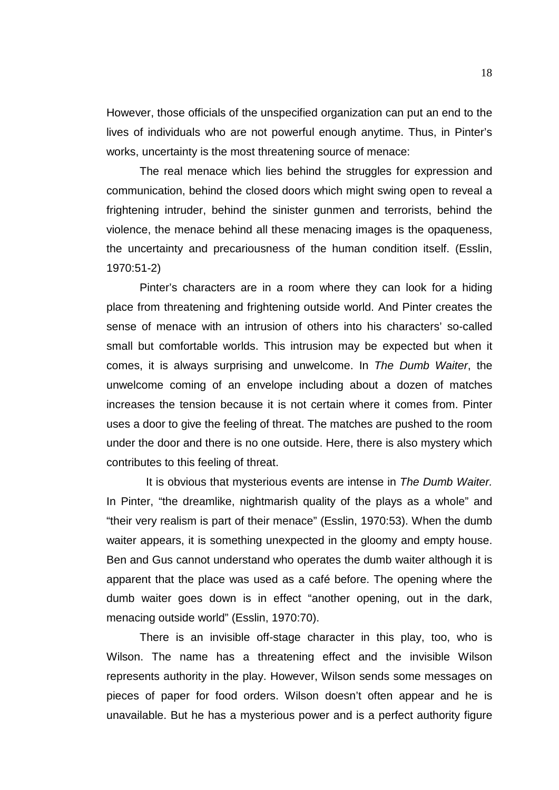However, those officials of the unspecified organization can put an end to the lives of individuals who are not powerful enough anytime. Thus, in Pinter's works, uncertainty is the most threatening source of menace:

The real menace which lies behind the struggles for expression and communication, behind the closed doors which might swing open to reveal a frightening intruder, behind the sinister gunmen and terrorists, behind the violence, the menace behind all these menacing images is the opaqueness, the uncertainty and precariousness of the human condition itself. (Esslin, 1970:51-2)

Pinter's characters are in a room where they can look for a hiding place from threatening and frightening outside world. And Pinter creates the sense of menace with an intrusion of others into his characters' so-called small but comfortable worlds. This intrusion may be expected but when it comes, it is always surprising and unwelcome. In *The Dumb Waiter*, the unwelcome coming of an envelope including about a dozen of matches increases the tension because it is not certain where it comes from. Pinter uses a door to give the feeling of threat. The matches are pushed to the room under the door and there is no one outside. Here, there is also mystery which contributes to this feeling of threat.

 It is obvious that mysterious events are intense in *The Dumb Waiter.*  In Pinter, "the dreamlike, nightmarish quality of the plays as a whole" and "their very realism is part of their menace" (Esslin, 1970:53). When the dumb waiter appears, it is something unexpected in the gloomy and empty house. Ben and Gus cannot understand who operates the dumb waiter although it is apparent that the place was used as a café before. The opening where the dumb waiter goes down is in effect "another opening, out in the dark, menacing outside world" (Esslin, 1970:70).

There is an invisible off-stage character in this play, too, who is Wilson. The name has a threatening effect and the invisible Wilson represents authority in the play. However, Wilson sends some messages on pieces of paper for food orders. Wilson doesn't often appear and he is unavailable. But he has a mysterious power and is a perfect authority figure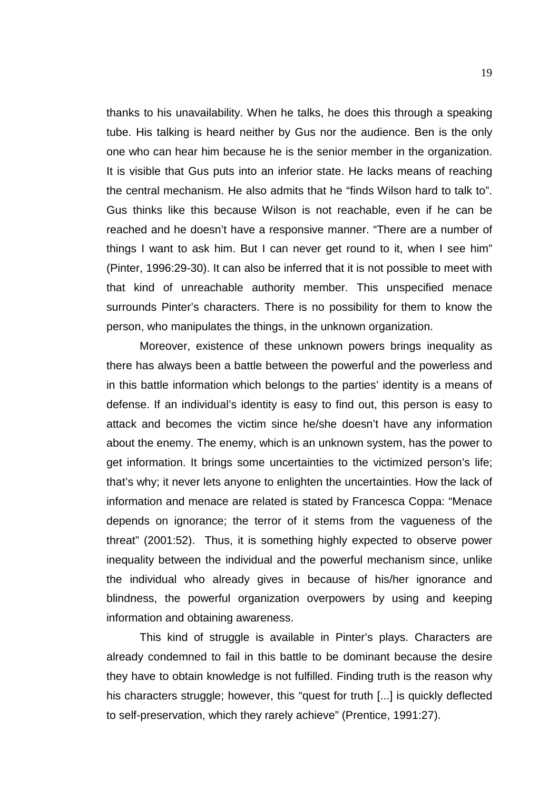thanks to his unavailability. When he talks, he does this through a speaking tube. His talking is heard neither by Gus nor the audience. Ben is the only one who can hear him because he is the senior member in the organization. It is visible that Gus puts into an inferior state. He lacks means of reaching the central mechanism. He also admits that he "finds Wilson hard to talk to". Gus thinks like this because Wilson is not reachable, even if he can be reached and he doesn't have a responsive manner. "There are a number of things I want to ask him. But I can never get round to it, when I see him" (Pinter, 1996:29-30). It can also be inferred that it is not possible to meet with that kind of unreachable authority member. This unspecified menace surrounds Pinter's characters. There is no possibility for them to know the person, who manipulates the things, in the unknown organization.

Moreover, existence of these unknown powers brings inequality as there has always been a battle between the powerful and the powerless and in this battle information which belongs to the parties' identity is a means of defense. If an individual's identity is easy to find out, this person is easy to attack and becomes the victim since he/she doesn't have any information about the enemy. The enemy, which is an unknown system, has the power to get information. It brings some uncertainties to the victimized person's life; that's why; it never lets anyone to enlighten the uncertainties. How the lack of information and menace are related is stated by Francesca Coppa: "Menace depends on ignorance; the terror of it stems from the vagueness of the threat" (2001:52). Thus, it is something highly expected to observe power inequality between the individual and the powerful mechanism since, unlike the individual who already gives in because of his/her ignorance and blindness, the powerful organization overpowers by using and keeping information and obtaining awareness.

This kind of struggle is available in Pinter's plays. Characters are already condemned to fail in this battle to be dominant because the desire they have to obtain knowledge is not fulfilled. Finding truth is the reason why his characters struggle; however, this "quest for truth [...] is quickly deflected to self-preservation, which they rarely achieve" (Prentice, 1991:27).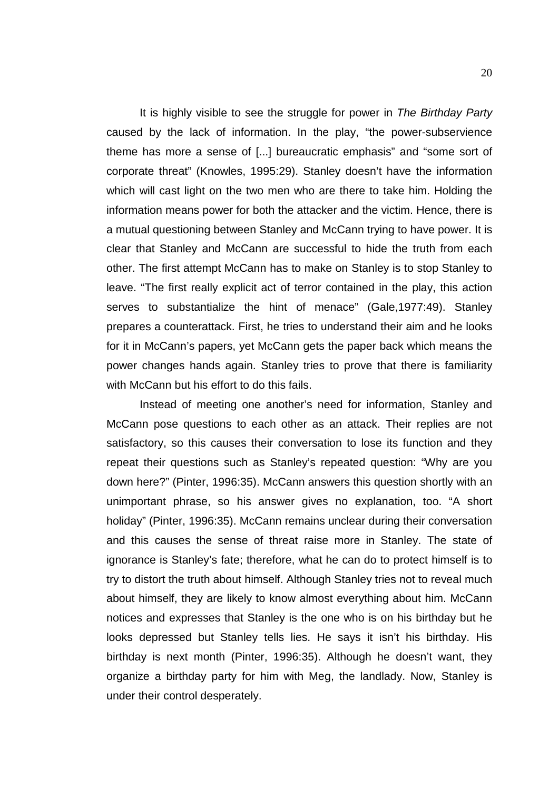It is highly visible to see the struggle for power in *The Birthday Party*  caused by the lack of information. In the play, "the power-subservience theme has more a sense of [...] bureaucratic emphasis" and "some sort of corporate threat" (Knowles, 1995:29). Stanley doesn't have the information which will cast light on the two men who are there to take him. Holding the information means power for both the attacker and the victim. Hence, there is a mutual questioning between Stanley and McCann trying to have power. It is clear that Stanley and McCann are successful to hide the truth from each other. The first attempt McCann has to make on Stanley is to stop Stanley to leave. "The first really explicit act of terror contained in the play, this action serves to substantialize the hint of menace" (Gale,1977:49). Stanley prepares a counterattack. First, he tries to understand their aim and he looks for it in McCann's papers, yet McCann gets the paper back which means the power changes hands again. Stanley tries to prove that there is familiarity with McCann but his effort to do this fails.

Instead of meeting one another's need for information, Stanley and McCann pose questions to each other as an attack. Their replies are not satisfactory, so this causes their conversation to lose its function and they repeat their questions such as Stanley's repeated question: "Why are you down here?" (Pinter, 1996:35). McCann answers this question shortly with an unimportant phrase, so his answer gives no explanation, too. "A short holiday" (Pinter, 1996:35). McCann remains unclear during their conversation and this causes the sense of threat raise more in Stanley. The state of ignorance is Stanley's fate; therefore, what he can do to protect himself is to try to distort the truth about himself. Although Stanley tries not to reveal much about himself, they are likely to know almost everything about him. McCann notices and expresses that Stanley is the one who is on his birthday but he looks depressed but Stanley tells lies. He says it isn't his birthday. His birthday is next month (Pinter, 1996:35). Although he doesn't want, they organize a birthday party for him with Meg, the landlady. Now, Stanley is under their control desperately.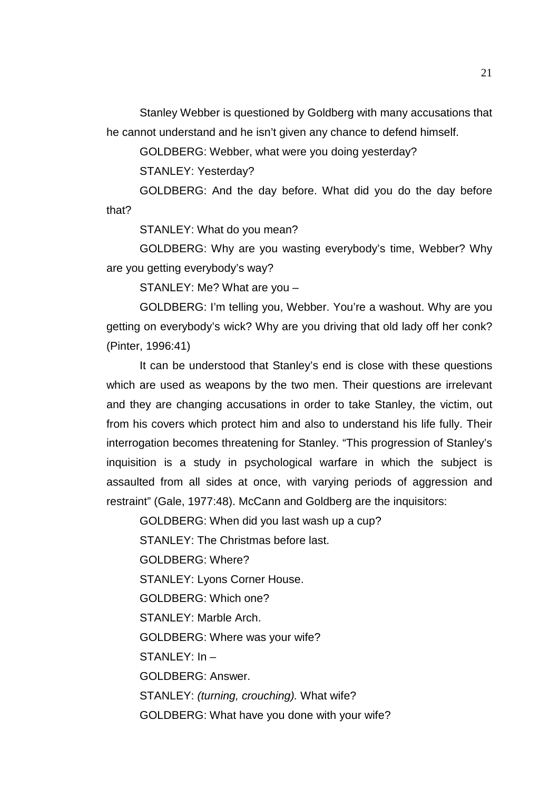Stanley Webber is questioned by Goldberg with many accusations that he cannot understand and he isn't given any chance to defend himself.

GOLDBERG: Webber, what were you doing yesterday?

STANLEY: Yesterday?

GOLDBERG: And the day before. What did you do the day before that?

STANLEY: What do you mean?

GOLDBERG: Why are you wasting everybody's time, Webber? Why are you getting everybody's way?

STANLEY: Me? What are you –

GOLDBERG: I'm telling you, Webber. You're a washout. Why are you getting on everybody's wick? Why are you driving that old lady off her conk? (Pinter, 1996:41)

It can be understood that Stanley's end is close with these questions which are used as weapons by the two men. Their questions are irrelevant and they are changing accusations in order to take Stanley, the victim, out from his covers which protect him and also to understand his life fully. Their interrogation becomes threatening for Stanley. "This progression of Stanley's inquisition is a study in psychological warfare in which the subject is assaulted from all sides at once, with varying periods of aggression and restraint" (Gale, 1977:48). McCann and Goldberg are the inquisitors:

GOLDBERG: When did you last wash up a cup?

STANLEY: The Christmas before last.

GOLDBERG: Where?

STANLEY: Lyons Corner House.

GOLDBERG: Which one?

STANLEY: Marble Arch.

GOLDBERG: Where was your wife?

 $STANIFY: In -$ 

GOLDBERG: Answer.

STANLEY: *(turning, crouching).* What wife?

GOLDBERG: What have you done with your wife?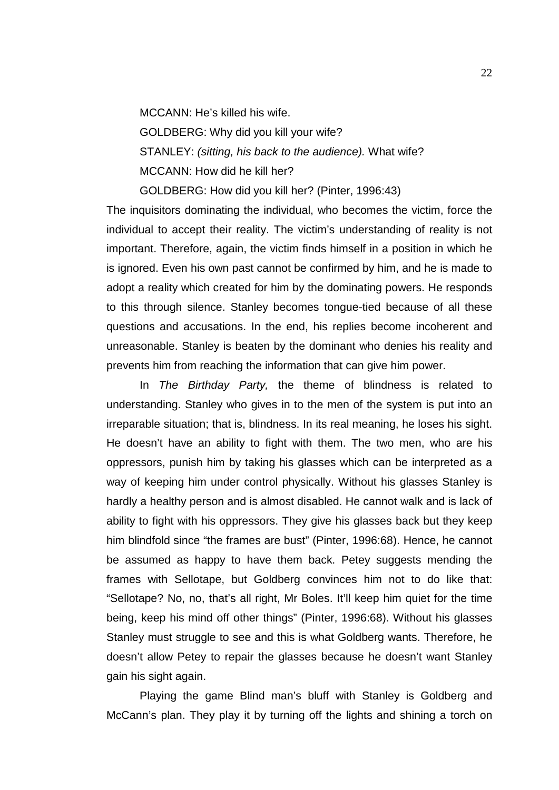MCCANN: He's killed his wife.

GOLDBERG: Why did you kill your wife? STANLEY: *(sitting, his back to the audience).* What wife? MCCANN: How did he kill her?

GOLDBERG: How did you kill her? (Pinter, 1996:43)

The inquisitors dominating the individual, who becomes the victim, force the individual to accept their reality. The victim's understanding of reality is not important. Therefore, again, the victim finds himself in a position in which he is ignored. Even his own past cannot be confirmed by him, and he is made to adopt a reality which created for him by the dominating powers. He responds to this through silence. Stanley becomes tongue-tied because of all these questions and accusations. In the end, his replies become incoherent and unreasonable. Stanley is beaten by the dominant who denies his reality and prevents him from reaching the information that can give him power.

In *The Birthday Party,* the theme of blindness is related to understanding. Stanley who gives in to the men of the system is put into an irreparable situation; that is, blindness. In its real meaning, he loses his sight. He doesn't have an ability to fight with them. The two men, who are his oppressors, punish him by taking his glasses which can be interpreted as a way of keeping him under control physically. Without his glasses Stanley is hardly a healthy person and is almost disabled. He cannot walk and is lack of ability to fight with his oppressors. They give his glasses back but they keep him blindfold since "the frames are bust" (Pinter, 1996:68). Hence, he cannot be assumed as happy to have them back. Petey suggests mending the frames with Sellotape, but Goldberg convinces him not to do like that: "Sellotape? No, no, that's all right, Mr Boles. It'll keep him quiet for the time being, keep his mind off other things" (Pinter, 1996:68). Without his glasses Stanley must struggle to see and this is what Goldberg wants. Therefore, he doesn't allow Petey to repair the glasses because he doesn't want Stanley gain his sight again.

Playing the game Blind man's bluff with Stanley is Goldberg and McCann's plan. They play it by turning off the lights and shining a torch on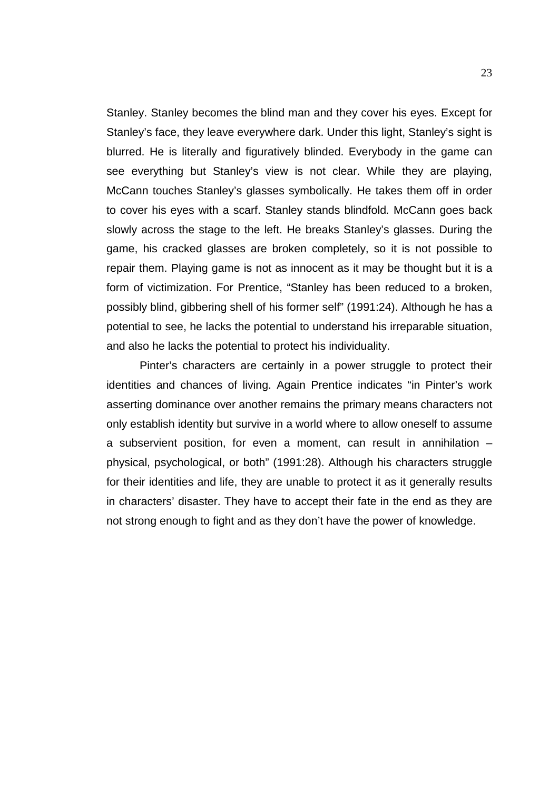Stanley. Stanley becomes the blind man and they cover his eyes. Except for Stanley's face, they leave everywhere dark. Under this light, Stanley's sight is blurred. He is literally and figuratively blinded. Everybody in the game can see everything but Stanley's view is not clear. While they are playing, McCann touches Stanley's glasses symbolically. He takes them off in order to cover his eyes with a scarf. Stanley stands blindfold*.* McCann goes back slowly across the stage to the left. He breaks Stanley's glasses. During the game, his cracked glasses are broken completely, so it is not possible to repair them. Playing game is not as innocent as it may be thought but it is a form of victimization. For Prentice, "Stanley has been reduced to a broken, possibly blind, gibbering shell of his former self" (1991:24). Although he has a potential to see, he lacks the potential to understand his irreparable situation, and also he lacks the potential to protect his individuality.

Pinter's characters are certainly in a power struggle to protect their identities and chances of living. Again Prentice indicates "in Pinter's work asserting dominance over another remains the primary means characters not only establish identity but survive in a world where to allow oneself to assume a subservient position, for even a moment, can result in annihilation – physical, psychological, or both" (1991:28). Although his characters struggle for their identities and life, they are unable to protect it as it generally results in characters' disaster. They have to accept their fate in the end as they are not strong enough to fight and as they don't have the power of knowledge.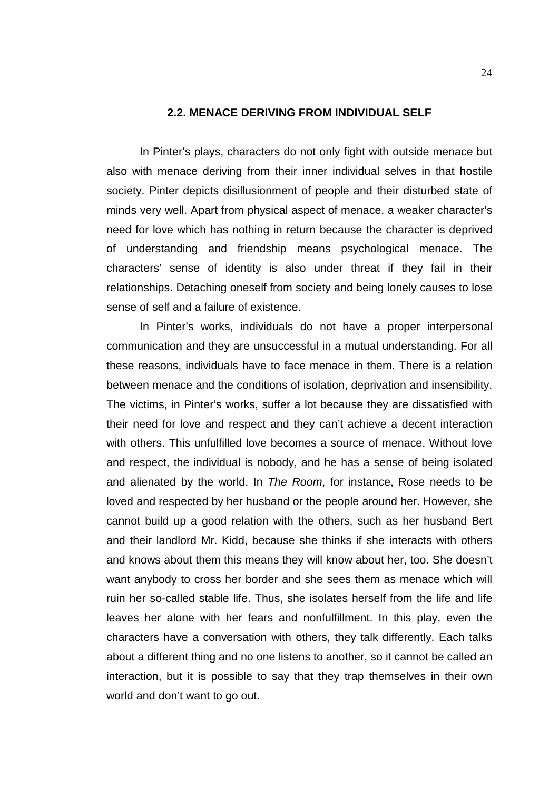### **2.2. MENACE DERIVING FROM INDIVIDUAL SELF**

In Pinter's plays, characters do not only fight with outside menace but also with menace deriving from their inner individual selves in that hostile society. Pinter depicts disillusionment of people and their disturbed state of minds very well. Apart from physical aspect of menace, a weaker character's need for love which has nothing in return because the character is deprived of understanding and friendship means psychological menace. The characters' sense of identity is also under threat if they fail in their relationships. Detaching oneself from society and being lonely causes to lose sense of self and a failure of existence.

In Pinter's works, individuals do not have a proper interpersonal communication and they are unsuccessful in a mutual understanding. For all these reasons, individuals have to face menace in them. There is a relation between menace and the conditions of isolation, deprivation and insensibility. The victims, in Pinter's works, suffer a lot because they are dissatisfied with their need for love and respect and they can't achieve a decent interaction with others. This unfulfilled love becomes a source of menace. Without love and respect, the individual is nobody, and he has a sense of being isolated and alienated by the world. In *The Room*, for instance, Rose needs to be loved and respected by her husband or the people around her. However, she cannot build up a good relation with the others, such as her husband Bert and their landlord Mr. Kidd, because she thinks if she interacts with others and knows about them this means they will know about her, too. She doesn't want anybody to cross her border and she sees them as menace which will ruin her so-called stable life. Thus, she isolates herself from the life and life leaves her alone with her fears and nonfulfillment. In this play, even the characters have a conversation with others, they talk differently. Each talks about a different thing and no one listens to another, so it cannot be called an interaction, but it is possible to say that they trap themselves in their own world and don't want to go out.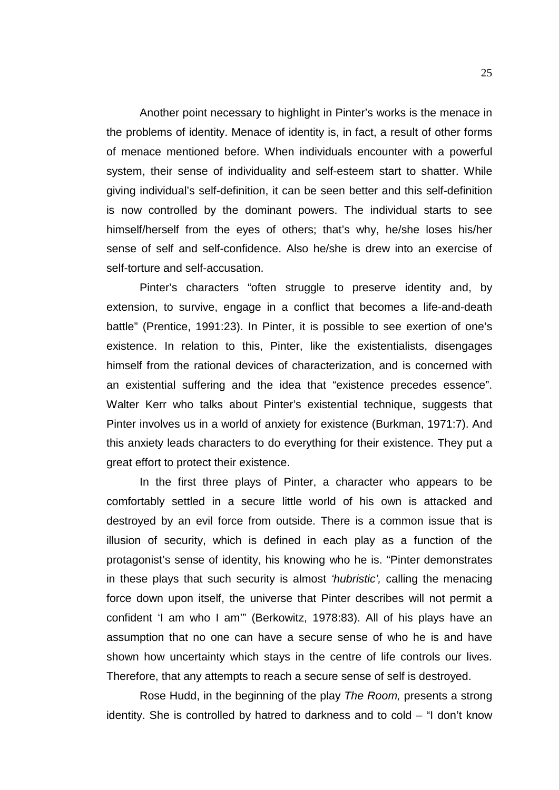Another point necessary to highlight in Pinter's works is the menace in the problems of identity. Menace of identity is, in fact, a result of other forms of menace mentioned before. When individuals encounter with a powerful system, their sense of individuality and self-esteem start to shatter. While giving individual's self-definition, it can be seen better and this self-definition is now controlled by the dominant powers. The individual starts to see himself/herself from the eyes of others; that's why, he/she loses his/her sense of self and self-confidence. Also he/she is drew into an exercise of self-torture and self-accusation.

Pinter's characters "often struggle to preserve identity and, by extension, to survive, engage in a conflict that becomes a life-and-death battle" (Prentice, 1991:23). In Pinter, it is possible to see exertion of one's existence. In relation to this, Pinter, like the existentialists, disengages himself from the rational devices of characterization, and is concerned with an existential suffering and the idea that "existence precedes essence". Walter Kerr who talks about Pinter's existential technique, suggests that Pinter involves us in a world of anxiety for existence (Burkman, 1971:7). And this anxiety leads characters to do everything for their existence. They put a great effort to protect their existence.

In the first three plays of Pinter, a character who appears to be comfortably settled in a secure little world of his own is attacked and destroyed by an evil force from outside. There is a common issue that is illusion of security, which is defined in each play as a function of the protagonist's sense of identity, his knowing who he is. "Pinter demonstrates in these plays that such security is almost *'hubristic',* calling the menacing force down upon itself, the universe that Pinter describes will not permit a confident 'I am who I am'" (Berkowitz, 1978:83). All of his plays have an assumption that no one can have a secure sense of who he is and have shown how uncertainty which stays in the centre of life controls our lives. Therefore, that any attempts to reach a secure sense of self is destroyed.

Rose Hudd, in the beginning of the play *The Room,* presents a strong identity. She is controlled by hatred to darkness and to cold – "I don't know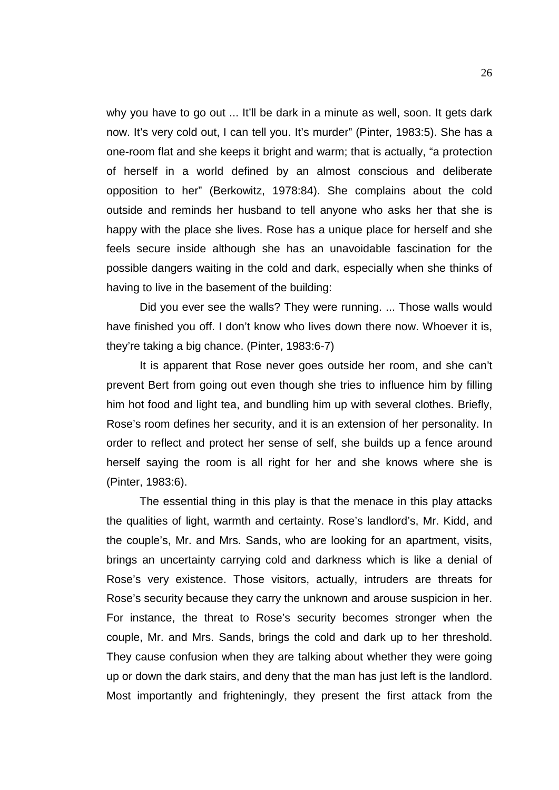why you have to go out ... It'll be dark in a minute as well, soon. It gets dark now. It's very cold out, I can tell you. It's murder" (Pinter, 1983:5). She has a one-room flat and she keeps it bright and warm; that is actually, "a protection of herself in a world defined by an almost conscious and deliberate opposition to her" (Berkowitz, 1978:84). She complains about the cold outside and reminds her husband to tell anyone who asks her that she is happy with the place she lives. Rose has a unique place for herself and she feels secure inside although she has an unavoidable fascination for the possible dangers waiting in the cold and dark, especially when she thinks of having to live in the basement of the building:

Did you ever see the walls? They were running. ... Those walls would have finished you off. I don't know who lives down there now. Whoever it is, they're taking a big chance. (Pinter, 1983:6-7)

It is apparent that Rose never goes outside her room, and she can't prevent Bert from going out even though she tries to influence him by filling him hot food and light tea, and bundling him up with several clothes. Briefly, Rose's room defines her security, and it is an extension of her personality. In order to reflect and protect her sense of self, she builds up a fence around herself saying the room is all right for her and she knows where she is (Pinter, 1983:6).

The essential thing in this play is that the menace in this play attacks the qualities of light, warmth and certainty. Rose's landlord's, Mr. Kidd, and the couple's, Mr. and Mrs. Sands, who are looking for an apartment, visits, brings an uncertainty carrying cold and darkness which is like a denial of Rose's very existence. Those visitors, actually, intruders are threats for Rose's security because they carry the unknown and arouse suspicion in her. For instance, the threat to Rose's security becomes stronger when the couple, Mr. and Mrs. Sands, brings the cold and dark up to her threshold. They cause confusion when they are talking about whether they were going up or down the dark stairs, and deny that the man has just left is the landlord. Most importantly and frighteningly, they present the first attack from the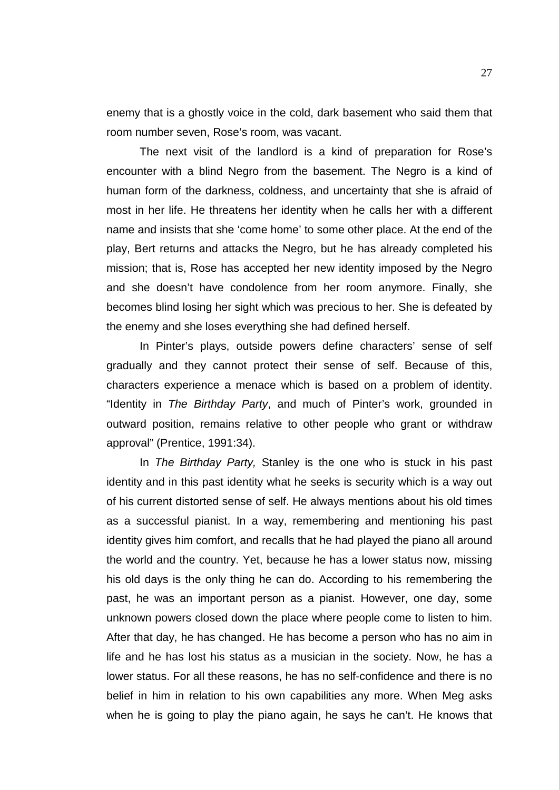enemy that is a ghostly voice in the cold, dark basement who said them that room number seven, Rose's room, was vacant.

The next visit of the landlord is a kind of preparation for Rose's encounter with a blind Negro from the basement. The Negro is a kind of human form of the darkness, coldness, and uncertainty that she is afraid of most in her life. He threatens her identity when he calls her with a different name and insists that she 'come home' to some other place. At the end of the play, Bert returns and attacks the Negro, but he has already completed his mission; that is, Rose has accepted her new identity imposed by the Negro and she doesn't have condolence from her room anymore. Finally, she becomes blind losing her sight which was precious to her. She is defeated by the enemy and she loses everything she had defined herself.

In Pinter's plays, outside powers define characters' sense of self gradually and they cannot protect their sense of self. Because of this, characters experience a menace which is based on a problem of identity. "Identity in *The Birthday Party*, and much of Pinter's work, grounded in outward position, remains relative to other people who grant or withdraw approval" (Prentice, 1991:34).

In *The Birthday Party,* Stanley is the one who is stuck in his past identity and in this past identity what he seeks is security which is a way out of his current distorted sense of self. He always mentions about his old times as a successful pianist. In a way, remembering and mentioning his past identity gives him comfort, and recalls that he had played the piano all around the world and the country. Yet, because he has a lower status now, missing his old days is the only thing he can do. According to his remembering the past, he was an important person as a pianist. However, one day, some unknown powers closed down the place where people come to listen to him. After that day, he has changed. He has become a person who has no aim in life and he has lost his status as a musician in the society. Now, he has a lower status. For all these reasons, he has no self-confidence and there is no belief in him in relation to his own capabilities any more. When Meg asks when he is going to play the piano again, he says he can't. He knows that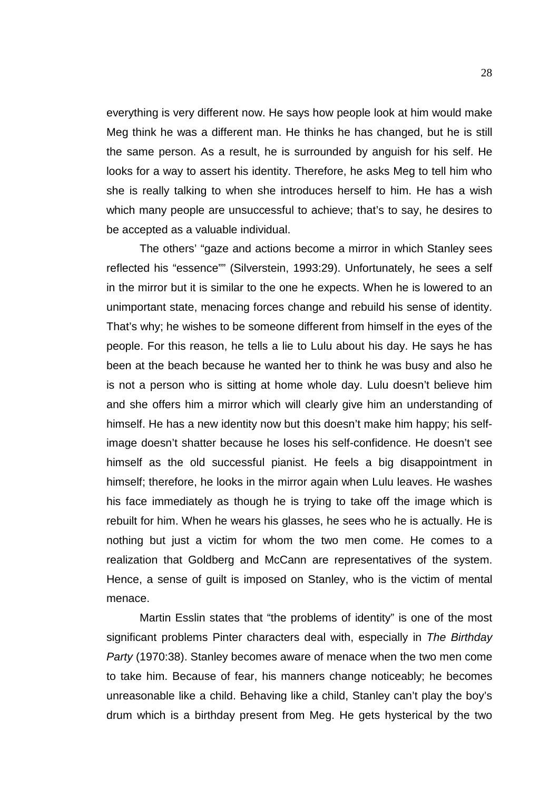everything is very different now. He says how people look at him would make Meg think he was a different man. He thinks he has changed, but he is still the same person. As a result, he is surrounded by anguish for his self. He looks for a way to assert his identity. Therefore, he asks Meg to tell him who she is really talking to when she introduces herself to him. He has a wish which many people are unsuccessful to achieve; that's to say, he desires to be accepted as a valuable individual.

The others' "gaze and actions become a mirror in which Stanley sees reflected his "essence"" (Silverstein, 1993:29). Unfortunately, he sees a self in the mirror but it is similar to the one he expects. When he is lowered to an unimportant state, menacing forces change and rebuild his sense of identity. That's why; he wishes to be someone different from himself in the eyes of the people. For this reason, he tells a lie to Lulu about his day. He says he has been at the beach because he wanted her to think he was busy and also he is not a person who is sitting at home whole day. Lulu doesn't believe him and she offers him a mirror which will clearly give him an understanding of himself. He has a new identity now but this doesn't make him happy; his selfimage doesn't shatter because he loses his self-confidence. He doesn't see himself as the old successful pianist. He feels a big disappointment in himself; therefore, he looks in the mirror again when Lulu leaves. He washes his face immediately as though he is trying to take off the image which is rebuilt for him. When he wears his glasses, he sees who he is actually. He is nothing but just a victim for whom the two men come. He comes to a realization that Goldberg and McCann are representatives of the system. Hence, a sense of guilt is imposed on Stanley, who is the victim of mental menace.

Martin Esslin states that "the problems of identity" is one of the most significant problems Pinter characters deal with, especially in *The Birthday Party* (1970:38). Stanley becomes aware of menace when the two men come to take him. Because of fear, his manners change noticeably; he becomes unreasonable like a child. Behaving like a child, Stanley can't play the boy's drum which is a birthday present from Meg. He gets hysterical by the two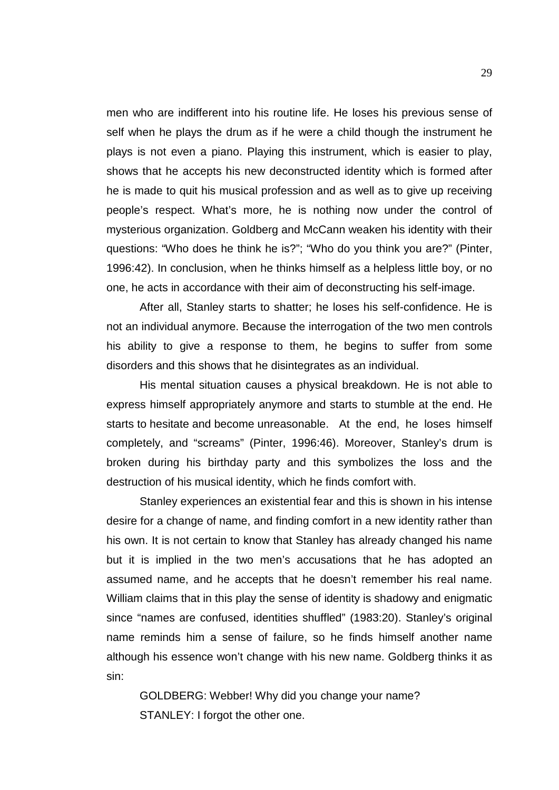men who are indifferent into his routine life. He loses his previous sense of self when he plays the drum as if he were a child though the instrument he plays is not even a piano. Playing this instrument, which is easier to play, shows that he accepts his new deconstructed identity which is formed after he is made to quit his musical profession and as well as to give up receiving people's respect. What's more, he is nothing now under the control of mysterious organization. Goldberg and McCann weaken his identity with their questions: "Who does he think he is?"; "Who do you think you are?" (Pinter, 1996:42). In conclusion, when he thinks himself as a helpless little boy, or no one, he acts in accordance with their aim of deconstructing his self-image.

After all, Stanley starts to shatter; he loses his self-confidence. He is not an individual anymore. Because the interrogation of the two men controls his ability to give a response to them, he begins to suffer from some disorders and this shows that he disintegrates as an individual.

His mental situation causes a physical breakdown. He is not able to express himself appropriately anymore and starts to stumble at the end. He starts to hesitate and become unreasonable. At the end, he loses himself completely, and "screams" (Pinter, 1996:46). Moreover, Stanley's drum is broken during his birthday party and this symbolizes the loss and the destruction of his musical identity, which he finds comfort with.

Stanley experiences an existential fear and this is shown in his intense desire for a change of name, and finding comfort in a new identity rather than his own. It is not certain to know that Stanley has already changed his name but it is implied in the two men's accusations that he has adopted an assumed name, and he accepts that he doesn't remember his real name. William claims that in this play the sense of identity is shadowy and enigmatic since "names are confused, identities shuffled" (1983:20). Stanley's original name reminds him a sense of failure, so he finds himself another name although his essence won't change with his new name. Goldberg thinks it as sin:

GOLDBERG: Webber! Why did you change your name? STANLEY: I forgot the other one.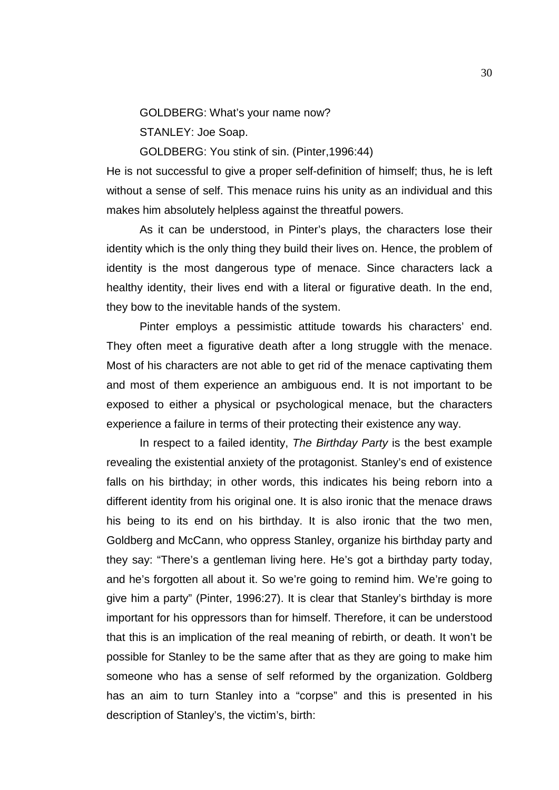GOLDBERG: What's your name now?

STANLEY: Joe Soap.

GOLDBERG: You stink of sin. (Pinter,1996:44)

He is not successful to give a proper self-definition of himself; thus, he is left without a sense of self. This menace ruins his unity as an individual and this makes him absolutely helpless against the threatful powers.

As it can be understood, in Pinter's plays, the characters lose their identity which is the only thing they build their lives on. Hence, the problem of identity is the most dangerous type of menace. Since characters lack a healthy identity, their lives end with a literal or figurative death. In the end, they bow to the inevitable hands of the system.

Pinter employs a pessimistic attitude towards his characters' end. They often meet a figurative death after a long struggle with the menace. Most of his characters are not able to get rid of the menace captivating them and most of them experience an ambiguous end. It is not important to be exposed to either a physical or psychological menace, but the characters experience a failure in terms of their protecting their existence any way.

In respect to a failed identity, *The Birthday Party* is the best example revealing the existential anxiety of the protagonist. Stanley's end of existence falls on his birthday; in other words, this indicates his being reborn into a different identity from his original one. It is also ironic that the menace draws his being to its end on his birthday. It is also ironic that the two men, Goldberg and McCann, who oppress Stanley, organize his birthday party and they say: "There's a gentleman living here. He's got a birthday party today, and he's forgotten all about it. So we're going to remind him. We're going to give him a party" (Pinter, 1996:27). It is clear that Stanley's birthday is more important for his oppressors than for himself. Therefore, it can be understood that this is an implication of the real meaning of rebirth, or death. It won't be possible for Stanley to be the same after that as they are going to make him someone who has a sense of self reformed by the organization. Goldberg has an aim to turn Stanley into a "corpse" and this is presented in his description of Stanley's, the victim's, birth: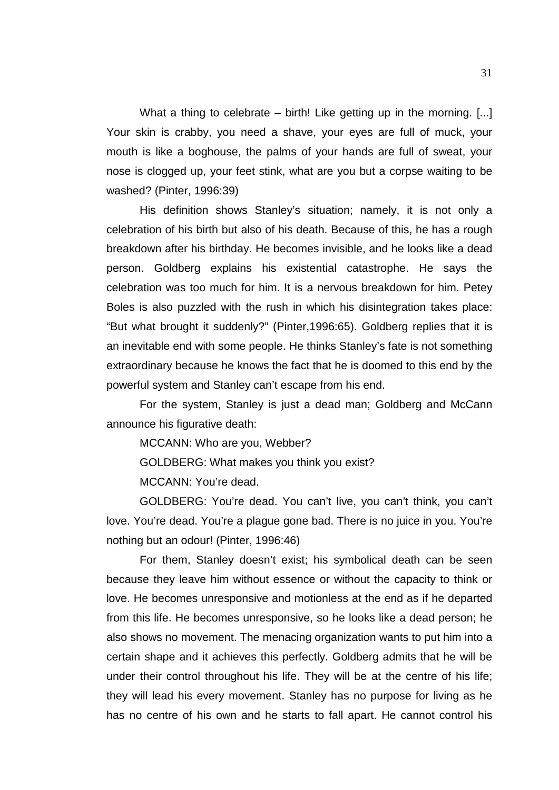What a thing to celebrate – birth! Like getting up in the morning. [...] Your skin is crabby, you need a shave, your eyes are full of muck, your mouth is like a boghouse, the palms of your hands are full of sweat, your nose is clogged up, your feet stink, what are you but a corpse waiting to be washed? (Pinter, 1996:39)

His definition shows Stanley's situation; namely, it is not only a celebration of his birth but also of his death. Because of this, he has a rough breakdown after his birthday. He becomes invisible, and he looks like a dead person. Goldberg explains his existential catastrophe. He says the celebration was too much for him. It is a nervous breakdown for him. Petey Boles is also puzzled with the rush in which his disintegration takes place: "But what brought it suddenly?" (Pinter,1996:65). Goldberg replies that it is an inevitable end with some people. He thinks Stanley's fate is not something extraordinary because he knows the fact that he is doomed to this end by the powerful system and Stanley can't escape from his end.

For the system, Stanley is just a dead man; Goldberg and McCann announce his figurative death:

MCCANN: Who are you, Webber?

GOLDBERG: What makes you think you exist?

MCCANN: You're dead.

GOLDBERG: You're dead. You can't live, you can't think, you can't love. You're dead. You're a plague gone bad. There is no juice in you. You're nothing but an odour! (Pinter, 1996:46)

For them, Stanley doesn't exist; his symbolical death can be seen because they leave him without essence or without the capacity to think or love. He becomes unresponsive and motionless at the end as if he departed from this life. He becomes unresponsive, so he looks like a dead person; he also shows no movement. The menacing organization wants to put him into a certain shape and it achieves this perfectly. Goldberg admits that he will be under their control throughout his life. They will be at the centre of his life; they will lead his every movement. Stanley has no purpose for living as he has no centre of his own and he starts to fall apart. He cannot control his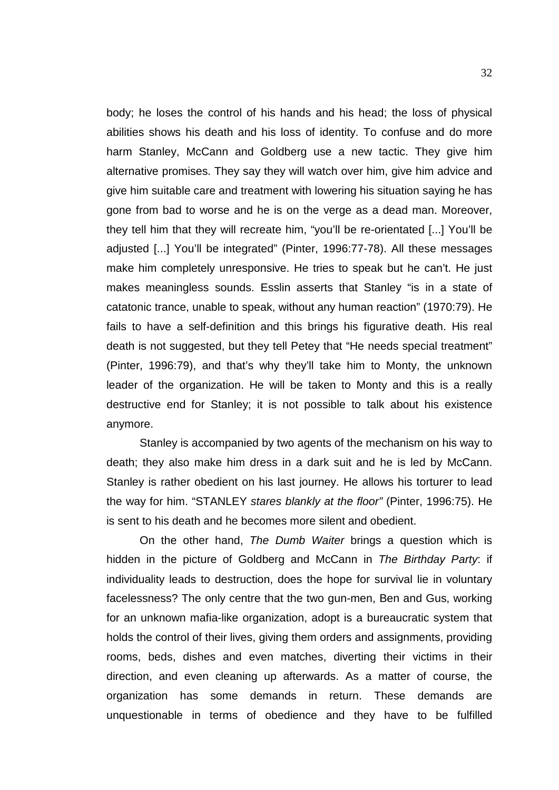body; he loses the control of his hands and his head; the loss of physical abilities shows his death and his loss of identity. To confuse and do more harm Stanley, McCann and Goldberg use a new tactic. They give him alternative promises. They say they will watch over him, give him advice and give him suitable care and treatment with lowering his situation saying he has gone from bad to worse and he is on the verge as a dead man. Moreover, they tell him that they will recreate him, "you'll be re-orientated [...] You'll be adjusted [...] You'll be integrated" (Pinter, 1996:77-78). All these messages make him completely unresponsive. He tries to speak but he can't. He just makes meaningless sounds. Esslin asserts that Stanley "is in a state of catatonic trance, unable to speak, without any human reaction" (1970:79). He fails to have a self-definition and this brings his figurative death. His real death is not suggested, but they tell Petey that "He needs special treatment" (Pinter, 1996:79), and that's why they'll take him to Monty, the unknown leader of the organization. He will be taken to Monty and this is a really destructive end for Stanley; it is not possible to talk about his existence anymore.

Stanley is accompanied by two agents of the mechanism on his way to death; they also make him dress in a dark suit and he is led by McCann. Stanley is rather obedient on his last journey. He allows his torturer to lead the way for him. "STANLEY *stares blankly at the floor"* (Pinter, 1996:75). He is sent to his death and he becomes more silent and obedient.

On the other hand, *The Dumb Waiter* brings a question which is hidden in the picture of Goldberg and McCann in *The Birthday Party*: if individuality leads to destruction, does the hope for survival lie in voluntary facelessness? The only centre that the two gun-men, Ben and Gus, working for an unknown mafia-like organization, adopt is a bureaucratic system that holds the control of their lives, giving them orders and assignments, providing rooms, beds, dishes and even matches, diverting their victims in their direction, and even cleaning up afterwards. As a matter of course, the organization has some demands in return. These demands are unquestionable in terms of obedience and they have to be fulfilled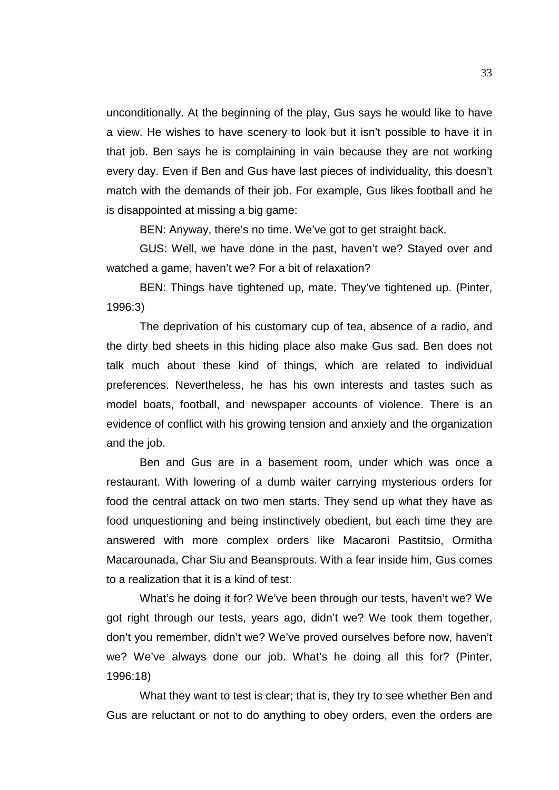unconditionally. At the beginning of the play, Gus says he would like to have a view. He wishes to have scenery to look but it isn't possible to have it in that job. Ben says he is complaining in vain because they are not working every day. Even if Ben and Gus have last pieces of individuality, this doesn't match with the demands of their job. For example, Gus likes football and he is disappointed at missing a big game:

BEN: Anyway, there's no time. We've got to get straight back.

GUS: Well, we have done in the past, haven't we? Stayed over and watched a game, haven't we? For a bit of relaxation?

BEN: Things have tightened up, mate. They've tightened up. (Pinter, 1996:3)

The deprivation of his customary cup of tea, absence of a radio, and the dirty bed sheets in this hiding place also make Gus sad. Ben does not talk much about these kind of things, which are related to individual preferences. Nevertheless, he has his own interests and tastes such as model boats, football, and newspaper accounts of violence. There is an evidence of conflict with his growing tension and anxiety and the organization and the job.

Ben and Gus are in a basement room, under which was once a restaurant. With lowering of a dumb waiter carrying mysterious orders for food the central attack on two men starts. They send up what they have as food unquestioning and being instinctively obedient, but each time they are answered with more complex orders like Macaroni Pastitsio, Ormitha Macarounada, Char Siu and Beansprouts. With a fear inside him, Gus comes to a realization that it is a kind of test:

What's he doing it for? We've been through our tests, haven't we? We got right through our tests, years ago, didn't we? We took them together, don't you remember, didn't we? We've proved ourselves before now, haven't we? We've always done our job. What's he doing all this for? (Pinter, 1996:18)

What they want to test is clear; that is, they try to see whether Ben and Gus are reluctant or not to do anything to obey orders, even the orders are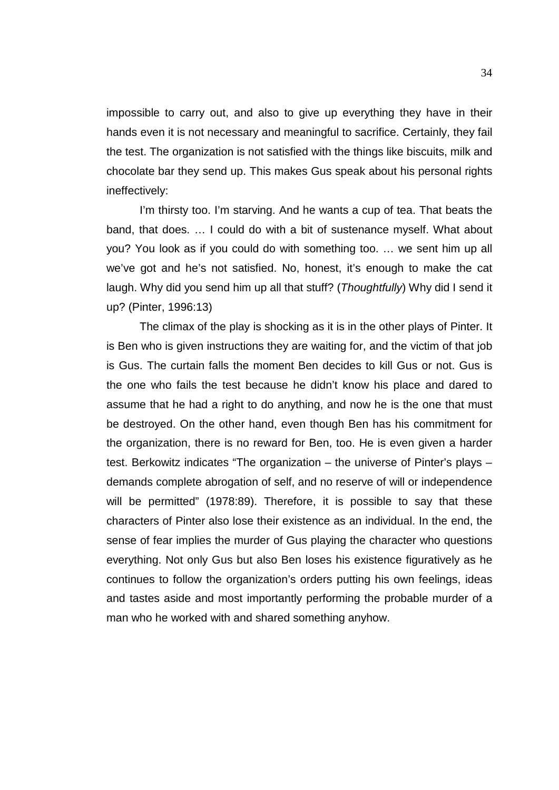impossible to carry out, and also to give up everything they have in their hands even it is not necessary and meaningful to sacrifice. Certainly, they fail the test. The organization is not satisfied with the things like biscuits, milk and chocolate bar they send up. This makes Gus speak about his personal rights ineffectively:

I'm thirsty too. I'm starving. And he wants a cup of tea. That beats the band, that does. … I could do with a bit of sustenance myself. What about you? You look as if you could do with something too. … we sent him up all we've got and he's not satisfied. No, honest, it's enough to make the cat laugh. Why did you send him up all that stuff? (*Thoughtfully*) Why did I send it up? (Pinter, 1996:13)

The climax of the play is shocking as it is in the other plays of Pinter. It is Ben who is given instructions they are waiting for, and the victim of that job is Gus. The curtain falls the moment Ben decides to kill Gus or not. Gus is the one who fails the test because he didn't know his place and dared to assume that he had a right to do anything, and now he is the one that must be destroyed. On the other hand, even though Ben has his commitment for the organization, there is no reward for Ben, too. He is even given a harder test. Berkowitz indicates "The organization – the universe of Pinter's plays – demands complete abrogation of self, and no reserve of will or independence will be permitted" (1978:89). Therefore, it is possible to say that these characters of Pinter also lose their existence as an individual. In the end, the sense of fear implies the murder of Gus playing the character who questions everything. Not only Gus but also Ben loses his existence figuratively as he continues to follow the organization's orders putting his own feelings, ideas and tastes aside and most importantly performing the probable murder of a man who he worked with and shared something anyhow.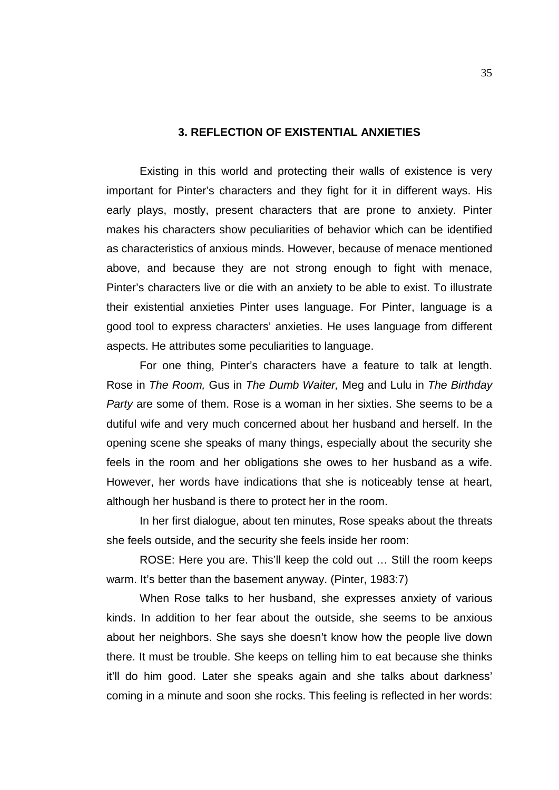## **3. REFLECTION OF EXISTENTIAL ANXIETIES**

Existing in this world and protecting their walls of existence is very important for Pinter's characters and they fight for it in different ways. His early plays, mostly, present characters that are prone to anxiety. Pinter makes his characters show peculiarities of behavior which can be identified as characteristics of anxious minds. However, because of menace mentioned above, and because they are not strong enough to fight with menace, Pinter's characters live or die with an anxiety to be able to exist. To illustrate their existential anxieties Pinter uses language. For Pinter, language is a good tool to express characters' anxieties. He uses language from different aspects. He attributes some peculiarities to language.

For one thing, Pinter's characters have a feature to talk at length. Rose in *The Room,* Gus in *The Dumb Waiter,* Meg and Lulu in *The Birthday Party* are some of them. Rose is a woman in her sixties. She seems to be a dutiful wife and very much concerned about her husband and herself. In the opening scene she speaks of many things, especially about the security she feels in the room and her obligations she owes to her husband as a wife. However, her words have indications that she is noticeably tense at heart, although her husband is there to protect her in the room.

In her first dialogue, about ten minutes, Rose speaks about the threats she feels outside, and the security she feels inside her room:

ROSE: Here you are. This'll keep the cold out … Still the room keeps warm. It's better than the basement anyway. (Pinter, 1983:7)

When Rose talks to her husband, she expresses anxiety of various kinds. In addition to her fear about the outside, she seems to be anxious about her neighbors. She says she doesn't know how the people live down there. It must be trouble. She keeps on telling him to eat because she thinks it'll do him good. Later she speaks again and she talks about darkness' coming in a minute and soon she rocks. This feeling is reflected in her words: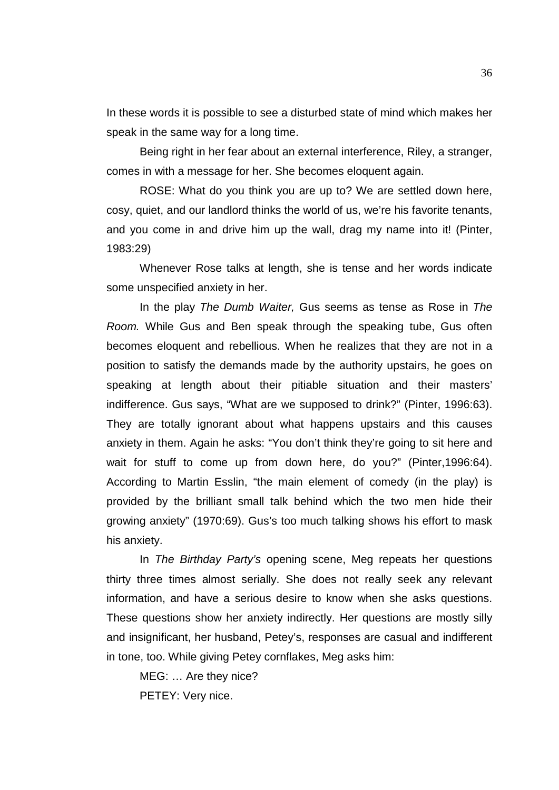In these words it is possible to see a disturbed state of mind which makes her speak in the same way for a long time.

Being right in her fear about an external interference, Riley, a stranger, comes in with a message for her. She becomes eloquent again.

ROSE: What do you think you are up to? We are settled down here, cosy, quiet, and our landlord thinks the world of us, we're his favorite tenants, and you come in and drive him up the wall, drag my name into it! (Pinter, 1983:29)

Whenever Rose talks at length, she is tense and her words indicate some unspecified anxiety in her.

In the play *The Dumb Waiter,* Gus seems as tense as Rose in *The Room.* While Gus and Ben speak through the speaking tube, Gus often becomes eloquent and rebellious. When he realizes that they are not in a position to satisfy the demands made by the authority upstairs, he goes on speaking at length about their pitiable situation and their masters' indifference. Gus says, "What are we supposed to drink?" (Pinter, 1996:63). They are totally ignorant about what happens upstairs and this causes anxiety in them. Again he asks: "You don't think they're going to sit here and wait for stuff to come up from down here, do you?" (Pinter,1996:64). According to Martin Esslin, "the main element of comedy (in the play) is provided by the brilliant small talk behind which the two men hide their growing anxiety" (1970:69). Gus's too much talking shows his effort to mask his anxiety.

In *The Birthday Party's* opening scene, Meg repeats her questions thirty three times almost serially. She does not really seek any relevant information, and have a serious desire to know when she asks questions. These questions show her anxiety indirectly. Her questions are mostly silly and insignificant, her husband, Petey's, responses are casual and indifferent in tone, too. While giving Petey cornflakes, Meg asks him:

MEG: … Are they nice? PETEY: Very nice.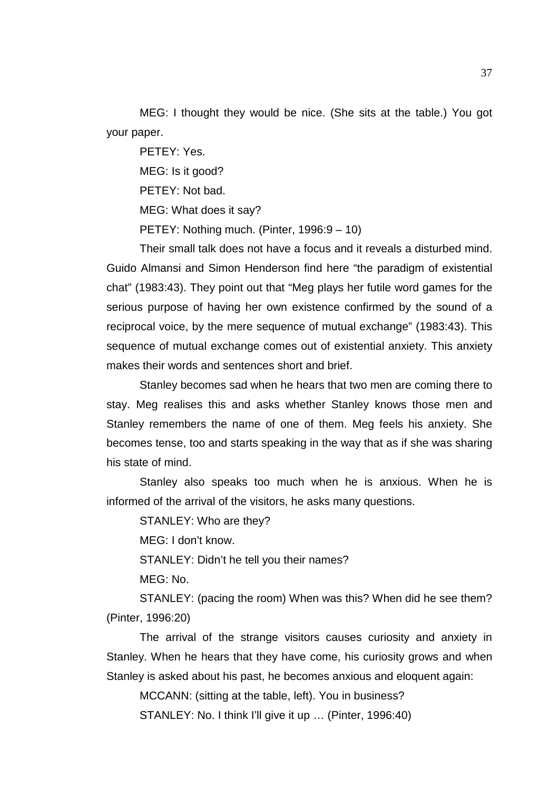MEG: I thought they would be nice. (She sits at the table.) You got your paper.

PETEY: Yes. MEG: Is it good? PETEY: Not bad. MEG: What does it say? PETEY: Nothing much. (Pinter, 1996:9 – 10)

Their small talk does not have a focus and it reveals a disturbed mind. Guido Almansi and Simon Henderson find here "the paradigm of existential chat" (1983:43). They point out that "Meg plays her futile word games for the serious purpose of having her own existence confirmed by the sound of a reciprocal voice, by the mere sequence of mutual exchange" (1983:43). This sequence of mutual exchange comes out of existential anxiety. This anxiety makes their words and sentences short and brief.

Stanley becomes sad when he hears that two men are coming there to stay. Meg realises this and asks whether Stanley knows those men and Stanley remembers the name of one of them. Meg feels his anxiety. She becomes tense, too and starts speaking in the way that as if she was sharing his state of mind.

Stanley also speaks too much when he is anxious. When he is informed of the arrival of the visitors, he asks many questions.

STANLEY: Who are they?

MEG: I don't know.

STANLEY: Didn't he tell you their names?

MEG: No.

STANLEY: (pacing the room) When was this? When did he see them? (Pinter, 1996:20)

The arrival of the strange visitors causes curiosity and anxiety in Stanley. When he hears that they have come, his curiosity grows and when Stanley is asked about his past, he becomes anxious and eloquent again:

MCCANN: (sitting at the table, left). You in business?

STANLEY: No. I think I'll give it up ... (Pinter, 1996:40)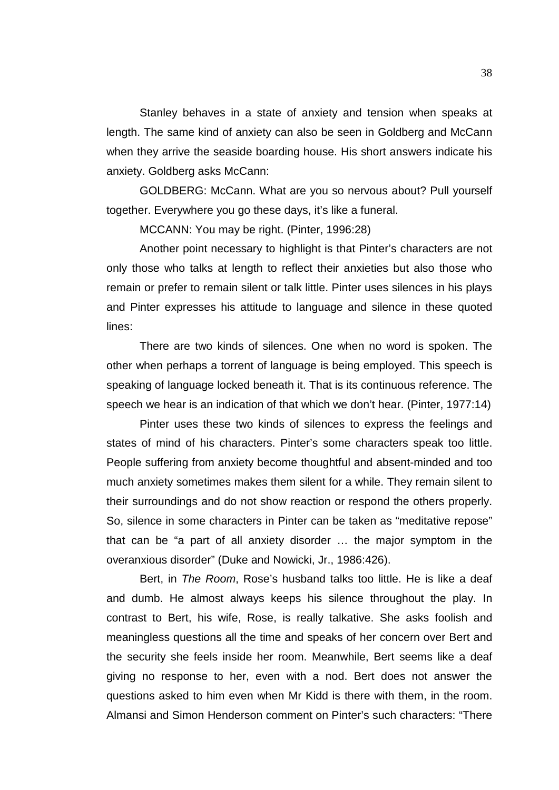Stanley behaves in a state of anxiety and tension when speaks at length. The same kind of anxiety can also be seen in Goldberg and McCann when they arrive the seaside boarding house. His short answers indicate his anxiety. Goldberg asks McCann:

GOLDBERG: McCann. What are you so nervous about? Pull yourself together. Everywhere you go these days, it's like a funeral.

MCCANN: You may be right. (Pinter, 1996:28)

Another point necessary to highlight is that Pinter's characters are not only those who talks at length to reflect their anxieties but also those who remain or prefer to remain silent or talk little. Pinter uses silences in his plays and Pinter expresses his attitude to language and silence in these quoted lines:

There are two kinds of silences. One when no word is spoken. The other when perhaps a torrent of language is being employed. This speech is speaking of language locked beneath it. That is its continuous reference. The speech we hear is an indication of that which we don't hear. (Pinter, 1977:14)

Pinter uses these two kinds of silences to express the feelings and states of mind of his characters. Pinter's some characters speak too little. People suffering from anxiety become thoughtful and absent-minded and too much anxiety sometimes makes them silent for a while. They remain silent to their surroundings and do not show reaction or respond the others properly. So, silence in some characters in Pinter can be taken as "meditative repose" that can be "a part of all anxiety disorder … the major symptom in the overanxious disorder" (Duke and Nowicki, Jr., 1986:426).

Bert, in *The Room*, Rose's husband talks too little. He is like a deaf and dumb. He almost always keeps his silence throughout the play. In contrast to Bert, his wife, Rose, is really talkative. She asks foolish and meaningless questions all the time and speaks of her concern over Bert and the security she feels inside her room. Meanwhile, Bert seems like a deaf giving no response to her, even with a nod. Bert does not answer the questions asked to him even when Mr Kidd is there with them, in the room. Almansi and Simon Henderson comment on Pinter's such characters: "There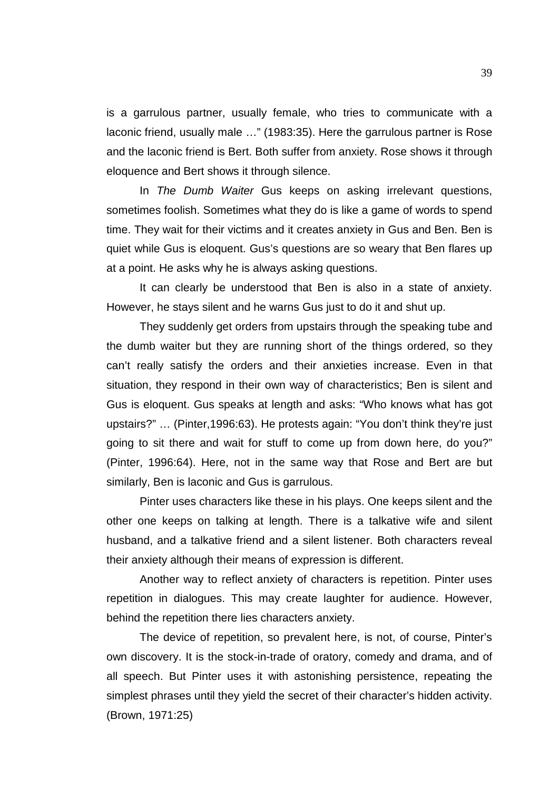is a garrulous partner, usually female, who tries to communicate with a laconic friend, usually male …" (1983:35). Here the garrulous partner is Rose and the laconic friend is Bert. Both suffer from anxiety. Rose shows it through eloquence and Bert shows it through silence.

In *The Dumb Waiter* Gus keeps on asking irrelevant questions, sometimes foolish. Sometimes what they do is like a game of words to spend time. They wait for their victims and it creates anxiety in Gus and Ben. Ben is quiet while Gus is eloquent. Gus's questions are so weary that Ben flares up at a point. He asks why he is always asking questions.

It can clearly be understood that Ben is also in a state of anxiety. However, he stays silent and he warns Gus just to do it and shut up.

They suddenly get orders from upstairs through the speaking tube and the dumb waiter but they are running short of the things ordered, so they can't really satisfy the orders and their anxieties increase. Even in that situation, they respond in their own way of characteristics; Ben is silent and Gus is eloquent. Gus speaks at length and asks: "Who knows what has got upstairs?" … (Pinter,1996:63). He protests again: "You don't think they're just going to sit there and wait for stuff to come up from down here, do you?" (Pinter, 1996:64). Here, not in the same way that Rose and Bert are but similarly, Ben is laconic and Gus is garrulous.

Pinter uses characters like these in his plays. One keeps silent and the other one keeps on talking at length. There is a talkative wife and silent husband, and a talkative friend and a silent listener. Both characters reveal their anxiety although their means of expression is different.

Another way to reflect anxiety of characters is repetition. Pinter uses repetition in dialogues. This may create laughter for audience. However, behind the repetition there lies characters anxiety.

The device of repetition, so prevalent here, is not, of course, Pinter's own discovery. It is the stock-in-trade of oratory, comedy and drama, and of all speech. But Pinter uses it with astonishing persistence, repeating the simplest phrases until they yield the secret of their character's hidden activity. (Brown, 1971:25)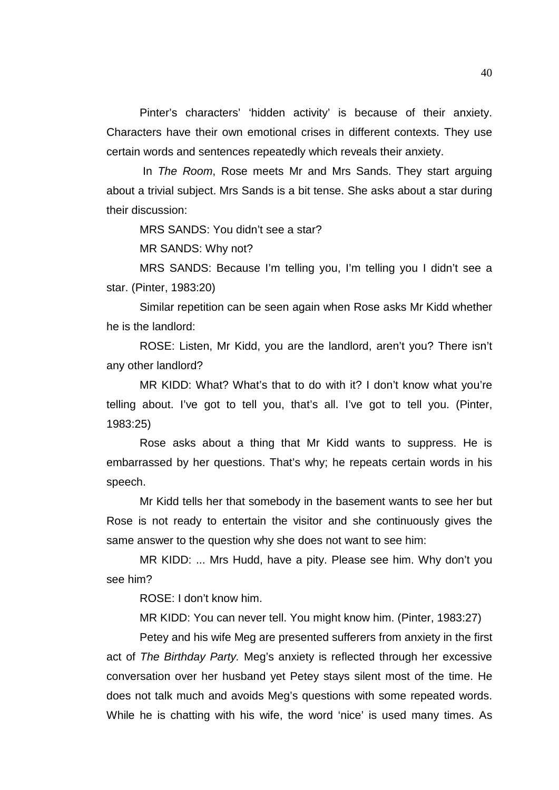Pinter's characters' 'hidden activity' is because of their anxiety. Characters have their own emotional crises in different contexts. They use certain words and sentences repeatedly which reveals their anxiety.

In *The Room*, Rose meets Mr and Mrs Sands. They start arguing about a trivial subject. Mrs Sands is a bit tense. She asks about a star during their discussion:

MRS SANDS: You didn't see a star?

MR SANDS: Why not?

MRS SANDS: Because I'm telling you, I'm telling you I didn't see a star. (Pinter, 1983:20)

Similar repetition can be seen again when Rose asks Mr Kidd whether he is the landlord:

ROSE: Listen, Mr Kidd, you are the landlord, aren't you? There isn't any other landlord?

MR KIDD: What? What's that to do with it? I don't know what you're telling about. I've got to tell you, that's all. I've got to tell you. (Pinter, 1983:25)

Rose asks about a thing that Mr Kidd wants to suppress. He is embarrassed by her questions. That's why; he repeats certain words in his speech.

Mr Kidd tells her that somebody in the basement wants to see her but Rose is not ready to entertain the visitor and she continuously gives the same answer to the question why she does not want to see him:

MR KIDD: ... Mrs Hudd, have a pity. Please see him. Why don't you see him?

ROSE: I don't know him.

MR KIDD: You can never tell. You might know him. (Pinter, 1983:27)

Petey and his wife Meg are presented sufferers from anxiety in the first act of *The Birthday Party.* Meg's anxiety is reflected through her excessive conversation over her husband yet Petey stays silent most of the time. He does not talk much and avoids Meg's questions with some repeated words. While he is chatting with his wife, the word 'nice' is used many times. As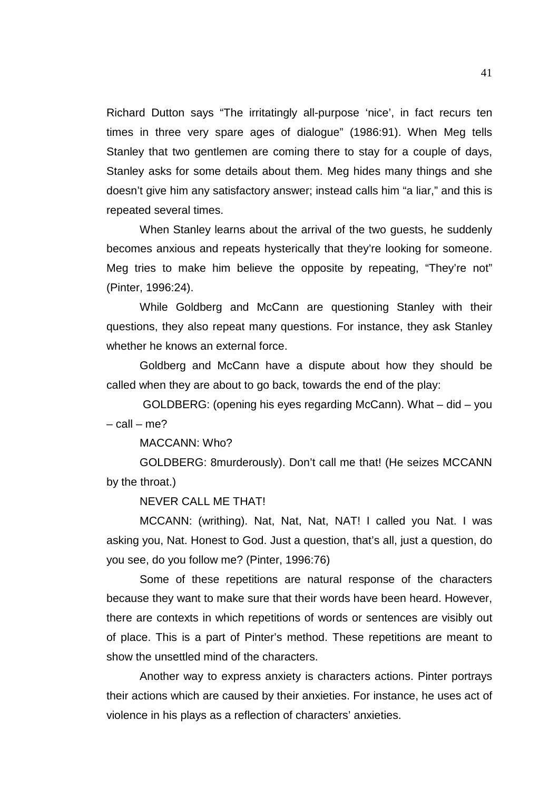Richard Dutton says "The irritatingly all-purpose 'nice', in fact recurs ten times in three very spare ages of dialogue" (1986:91). When Meg tells Stanley that two gentlemen are coming there to stay for a couple of days, Stanley asks for some details about them. Meg hides many things and she doesn't give him any satisfactory answer; instead calls him "a liar," and this is repeated several times.

When Stanley learns about the arrival of the two guests, he suddenly becomes anxious and repeats hysterically that they're looking for someone. Meg tries to make him believe the opposite by repeating, "They're not" (Pinter, 1996:24).

While Goldberg and McCann are questioning Stanley with their questions, they also repeat many questions. For instance, they ask Stanley whether he knows an external force.

Goldberg and McCann have a dispute about how they should be called when they are about to go back, towards the end of the play:

GOLDBERG: (opening his eyes regarding McCann). What – did – you – call – me?

MACCANN: Who?

GOLDBERG: 8murderously). Don't call me that! (He seizes MCCANN by the throat.)

NEVER CALL ME THAT!

MCCANN: (writhing). Nat, Nat, Nat, NAT! I called you Nat. I was asking you, Nat. Honest to God. Just a question, that's all, just a question, do you see, do you follow me? (Pinter, 1996:76)

Some of these repetitions are natural response of the characters because they want to make sure that their words have been heard. However, there are contexts in which repetitions of words or sentences are visibly out of place. This is a part of Pinter's method. These repetitions are meant to show the unsettled mind of the characters.

Another way to express anxiety is characters actions. Pinter portrays their actions which are caused by their anxieties. For instance, he uses act of violence in his plays as a reflection of characters' anxieties.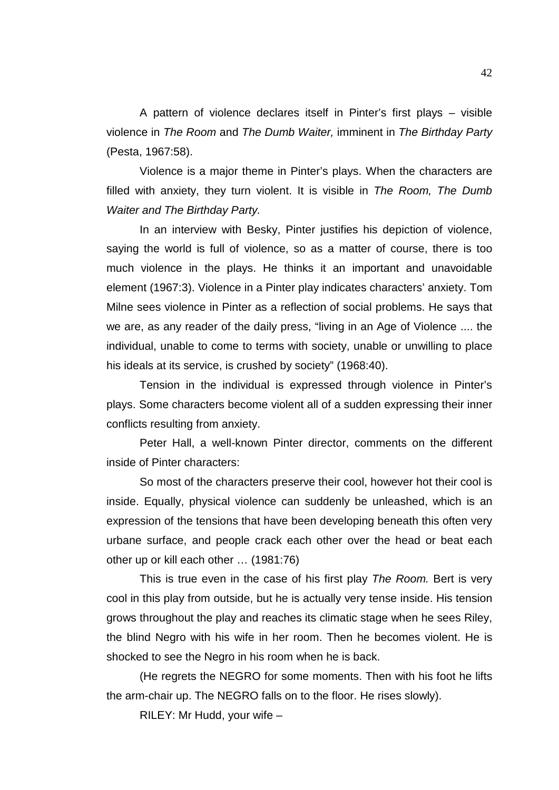A pattern of violence declares itself in Pinter's first plays – visible violence in *The Room* and *The Dumb Waiter,* imminent in *The Birthday Party* (Pesta, 1967:58).

Violence is a major theme in Pinter's plays. When the characters are filled with anxiety, they turn violent. It is visible in *The Room, The Dumb Waiter and The Birthday Party.*

In an interview with Besky, Pinter justifies his depiction of violence, saying the world is full of violence, so as a matter of course, there is too much violence in the plays. He thinks it an important and unavoidable element (1967:3). Violence in a Pinter play indicates characters' anxiety. Tom Milne sees violence in Pinter as a reflection of social problems. He says that we are, as any reader of the daily press, "living in an Age of Violence .... the individual, unable to come to terms with society, unable or unwilling to place his ideals at its service, is crushed by society" (1968:40).

Tension in the individual is expressed through violence in Pinter's plays. Some characters become violent all of a sudden expressing their inner conflicts resulting from anxiety.

Peter Hall, a well-known Pinter director, comments on the different inside of Pinter characters:

So most of the characters preserve their cool, however hot their cool is inside. Equally, physical violence can suddenly be unleashed, which is an expression of the tensions that have been developing beneath this often very urbane surface, and people crack each other over the head or beat each other up or kill each other … (1981:76)

This is true even in the case of his first play *The Room.* Bert is very cool in this play from outside, but he is actually very tense inside. His tension grows throughout the play and reaches its climatic stage when he sees Riley, the blind Negro with his wife in her room. Then he becomes violent. He is shocked to see the Negro in his room when he is back.

(He regrets the NEGRO for some moments. Then with his foot he lifts the arm-chair up. The NEGRO falls on to the floor. He rises slowly).

RILEY: Mr Hudd, your wife –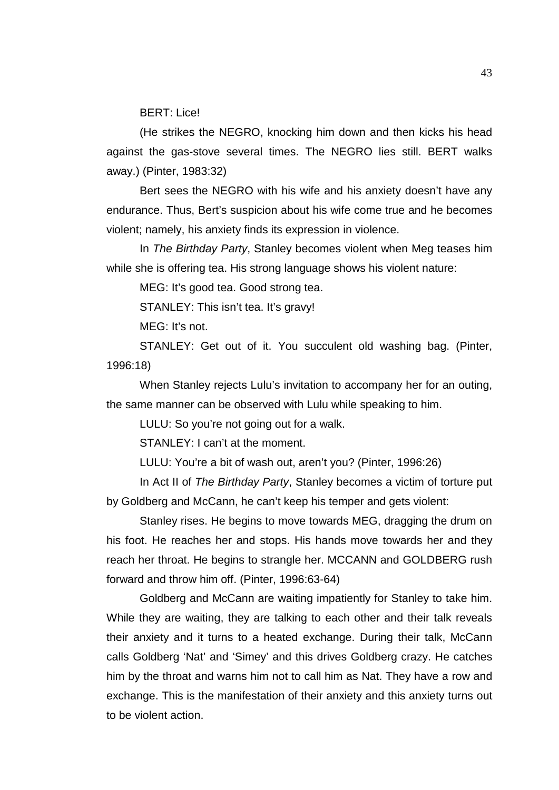BERT: Lice!

(He strikes the NEGRO, knocking him down and then kicks his head against the gas-stove several times. The NEGRO lies still. BERT walks away.) (Pinter, 1983:32)

Bert sees the NEGRO with his wife and his anxiety doesn't have any endurance. Thus, Bert's suspicion about his wife come true and he becomes violent; namely, his anxiety finds its expression in violence.

In *The Birthday Party*, Stanley becomes violent when Meg teases him while she is offering tea. His strong language shows his violent nature:

MEG: It's good tea. Good strong tea.

STANLEY: This isn't tea. It's gravy!

MEG: It's not.

STANLEY: Get out of it. You succulent old washing bag. (Pinter, 1996:18)

When Stanley rejects Lulu's invitation to accompany her for an outing, the same manner can be observed with Lulu while speaking to him.

LULU: So you're not going out for a walk.

STANLEY: I can't at the moment.

LULU: You're a bit of wash out, aren't you? (Pinter, 1996:26)

In Act II of *The Birthday Party*, Stanley becomes a victim of torture put by Goldberg and McCann, he can't keep his temper and gets violent:

Stanley rises. He begins to move towards MEG, dragging the drum on his foot. He reaches her and stops. His hands move towards her and they reach her throat. He begins to strangle her. MCCANN and GOLDBERG rush forward and throw him off. (Pinter, 1996:63-64)

Goldberg and McCann are waiting impatiently for Stanley to take him. While they are waiting, they are talking to each other and their talk reveals their anxiety and it turns to a heated exchange. During their talk, McCann calls Goldberg 'Nat' and 'Simey' and this drives Goldberg crazy. He catches him by the throat and warns him not to call him as Nat. They have a row and exchange. This is the manifestation of their anxiety and this anxiety turns out to be violent action.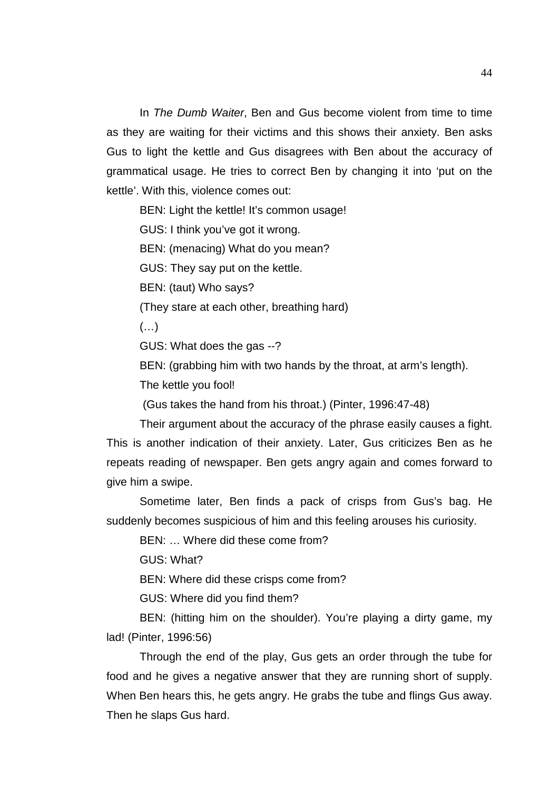In *The Dumb Waiter*, Ben and Gus become violent from time to time as they are waiting for their victims and this shows their anxiety. Ben asks Gus to light the kettle and Gus disagrees with Ben about the accuracy of grammatical usage. He tries to correct Ben by changing it into 'put on the kettle'. With this, violence comes out:

BEN: Light the kettle! It's common usage!

GUS: I think you've got it wrong.

BEN: (menacing) What do you mean?

GUS: They say put on the kettle.

BEN: (taut) Who says?

(They stare at each other, breathing hard)

(…)

GUS: What does the gas --?

BEN: (grabbing him with two hands by the throat, at arm's length).

The kettle you fool!

(Gus takes the hand from his throat.) (Pinter, 1996:47-48)

Their argument about the accuracy of the phrase easily causes a fight. This is another indication of their anxiety. Later, Gus criticizes Ben as he repeats reading of newspaper. Ben gets angry again and comes forward to give him a swipe.

Sometime later, Ben finds a pack of crisps from Gus's bag. He suddenly becomes suspicious of him and this feeling arouses his curiosity.

BEN: … Where did these come from?

GUS: What?

BEN: Where did these crisps come from?

GUS: Where did you find them?

BEN: (hitting him on the shoulder). You're playing a dirty game, my lad! (Pinter, 1996:56)

Through the end of the play, Gus gets an order through the tube for food and he gives a negative answer that they are running short of supply. When Ben hears this, he gets angry. He grabs the tube and flings Gus away. Then he slaps Gus hard.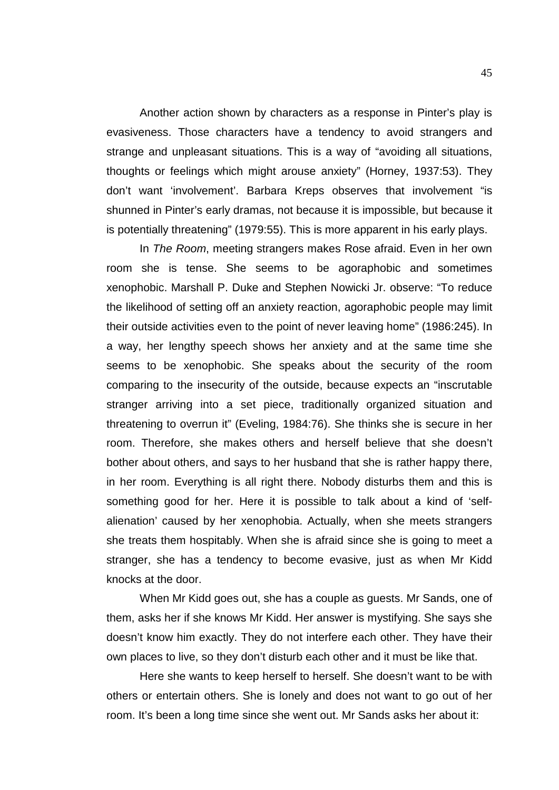Another action shown by characters as a response in Pinter's play is evasiveness. Those characters have a tendency to avoid strangers and strange and unpleasant situations. This is a way of "avoiding all situations, thoughts or feelings which might arouse anxiety" (Horney, 1937:53). They don't want 'involvement'. Barbara Kreps observes that involvement "is shunned in Pinter's early dramas, not because it is impossible, but because it is potentially threatening" (1979:55). This is more apparent in his early plays.

In *The Room*, meeting strangers makes Rose afraid. Even in her own room she is tense. She seems to be agoraphobic and sometimes xenophobic. Marshall P. Duke and Stephen Nowicki Jr. observe: "To reduce the likelihood of setting off an anxiety reaction, agoraphobic people may limit their outside activities even to the point of never leaving home" (1986:245). In a way, her lengthy speech shows her anxiety and at the same time she seems to be xenophobic. She speaks about the security of the room comparing to the insecurity of the outside, because expects an "inscrutable stranger arriving into a set piece, traditionally organized situation and threatening to overrun it" (Eveling, 1984:76). She thinks she is secure in her room. Therefore, she makes others and herself believe that she doesn't bother about others, and says to her husband that she is rather happy there, in her room. Everything is all right there. Nobody disturbs them and this is something good for her. Here it is possible to talk about a kind of 'selfalienation' caused by her xenophobia. Actually, when she meets strangers she treats them hospitably. When she is afraid since she is going to meet a stranger, she has a tendency to become evasive, just as when Mr Kidd knocks at the door.

When Mr Kidd goes out, she has a couple as guests. Mr Sands, one of them, asks her if she knows Mr Kidd. Her answer is mystifying. She says she doesn't know him exactly. They do not interfere each other. They have their own places to live, so they don't disturb each other and it must be like that.

Here she wants to keep herself to herself. She doesn't want to be with others or entertain others. She is lonely and does not want to go out of her room. It's been a long time since she went out. Mr Sands asks her about it: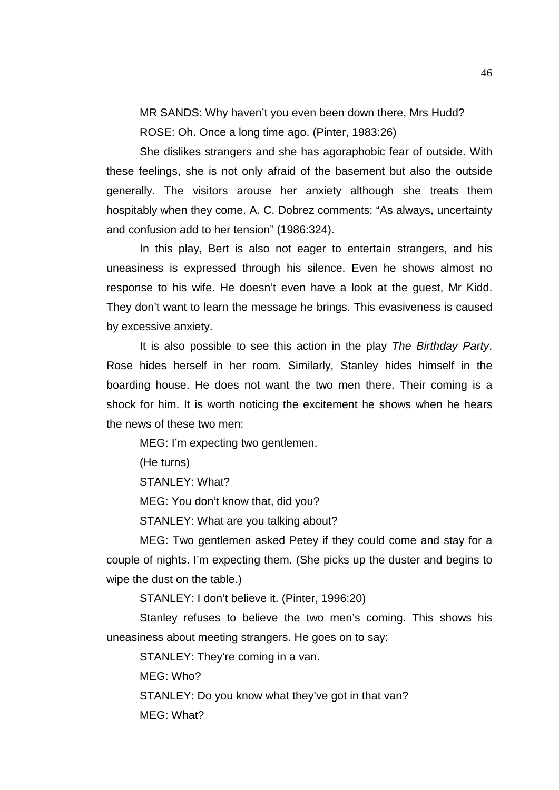MR SANDS: Why haven't you even been down there, Mrs Hudd? ROSE: Oh. Once a long time ago. (Pinter, 1983:26)

She dislikes strangers and she has agoraphobic fear of outside. With these feelings, she is not only afraid of the basement but also the outside generally. The visitors arouse her anxiety although she treats them hospitably when they come. A. C. Dobrez comments: "As always, uncertainty and confusion add to her tension" (1986:324).

In this play, Bert is also not eager to entertain strangers, and his uneasiness is expressed through his silence. Even he shows almost no response to his wife. He doesn't even have a look at the guest, Mr Kidd. They don't want to learn the message he brings. This evasiveness is caused by excessive anxiety.

It is also possible to see this action in the play *The Birthday Party*. Rose hides herself in her room. Similarly, Stanley hides himself in the boarding house. He does not want the two men there. Their coming is a shock for him. It is worth noticing the excitement he shows when he hears the news of these two men:

MEG: I'm expecting two gentlemen.

(He turns)

STANLEY: What?

MEG: You don't know that, did you?

STANLEY: What are you talking about?

MEG: Two gentlemen asked Petey if they could come and stay for a couple of nights. I'm expecting them. (She picks up the duster and begins to wipe the dust on the table.)

STANLEY: I don't believe it. (Pinter, 1996:20)

Stanley refuses to believe the two men's coming. This shows his uneasiness about meeting strangers. He goes on to say:

STANLEY: They're coming in a van.

MEG: Who?

STANLEY: Do you know what they've got in that van?

MEG: What?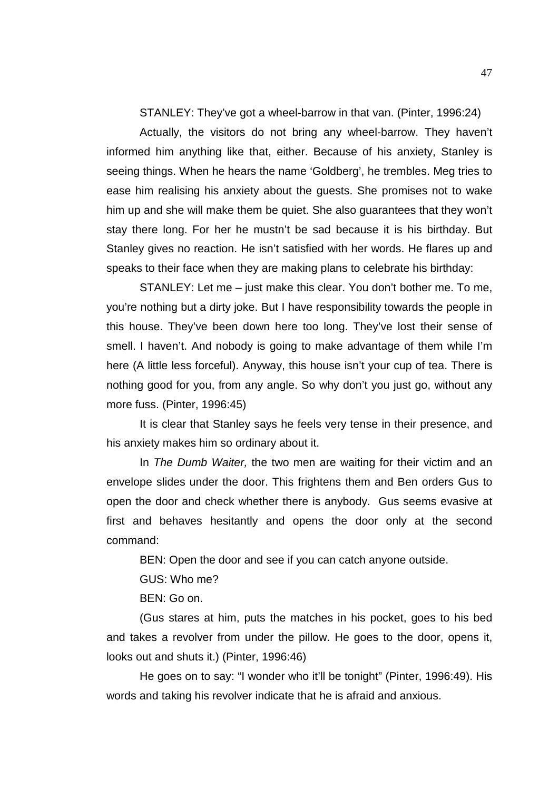STANLEY: They've got a wheel-barrow in that van. (Pinter, 1996:24)

Actually, the visitors do not bring any wheel-barrow. They haven't informed him anything like that, either. Because of his anxiety, Stanley is seeing things. When he hears the name 'Goldberg', he trembles. Meg tries to ease him realising his anxiety about the guests. She promises not to wake him up and she will make them be quiet. She also guarantees that they won't stay there long. For her he mustn't be sad because it is his birthday. But Stanley gives no reaction. He isn't satisfied with her words. He flares up and speaks to their face when they are making plans to celebrate his birthday:

STANLEY: Let me – just make this clear. You don't bother me. To me, you're nothing but a dirty joke. But I have responsibility towards the people in this house. They've been down here too long. They've lost their sense of smell. I haven't. And nobody is going to make advantage of them while I'm here (A little less forceful). Anyway, this house isn't your cup of tea. There is nothing good for you, from any angle. So why don't you just go, without any more fuss. (Pinter, 1996:45)

It is clear that Stanley says he feels very tense in their presence, and his anxiety makes him so ordinary about it.

In *The Dumb Waiter,* the two men are waiting for their victim and an envelope slides under the door. This frightens them and Ben orders Gus to open the door and check whether there is anybody. Gus seems evasive at first and behaves hesitantly and opens the door only at the second command:

BEN: Open the door and see if you can catch anyone outside.

GUS: Who me?

BEN: Go on.

(Gus stares at him, puts the matches in his pocket, goes to his bed and takes a revolver from under the pillow. He goes to the door, opens it, looks out and shuts it.) (Pinter, 1996:46)

He goes on to say: "I wonder who it'll be tonight" (Pinter, 1996:49). His words and taking his revolver indicate that he is afraid and anxious.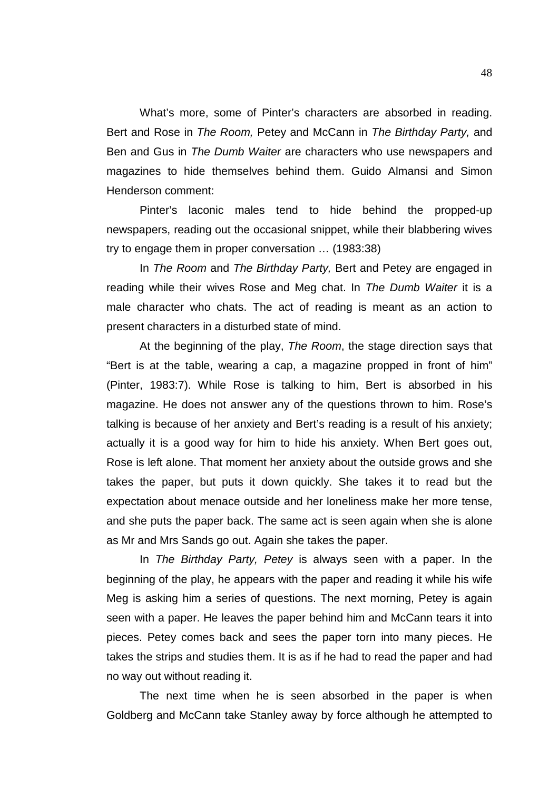What's more, some of Pinter's characters are absorbed in reading. Bert and Rose in *The Room,* Petey and McCann in *The Birthday Party,* and Ben and Gus in *The Dumb Waiter* are characters who use newspapers and magazines to hide themselves behind them. Guido Almansi and Simon Henderson comment:

Pinter's laconic males tend to hide behind the propped-up newspapers, reading out the occasional snippet, while their blabbering wives try to engage them in proper conversation … (1983:38)

In *The Room* and *The Birthday Party,* Bert and Petey are engaged in reading while their wives Rose and Meg chat. In *The Dumb Waiter* it is a male character who chats. The act of reading is meant as an action to present characters in a disturbed state of mind.

At the beginning of the play, *The Room*, the stage direction says that "Bert is at the table, wearing a cap, a magazine propped in front of him" (Pinter, 1983:7). While Rose is talking to him, Bert is absorbed in his magazine. He does not answer any of the questions thrown to him. Rose's talking is because of her anxiety and Bert's reading is a result of his anxiety; actually it is a good way for him to hide his anxiety. When Bert goes out, Rose is left alone. That moment her anxiety about the outside grows and she takes the paper, but puts it down quickly. She takes it to read but the expectation about menace outside and her loneliness make her more tense, and she puts the paper back. The same act is seen again when she is alone as Mr and Mrs Sands go out. Again she takes the paper.

In *The Birthday Party, Petey* is always seen with a paper. In the beginning of the play, he appears with the paper and reading it while his wife Meg is asking him a series of questions. The next morning, Petey is again seen with a paper. He leaves the paper behind him and McCann tears it into pieces. Petey comes back and sees the paper torn into many pieces. He takes the strips and studies them. It is as if he had to read the paper and had no way out without reading it.

The next time when he is seen absorbed in the paper is when Goldberg and McCann take Stanley away by force although he attempted to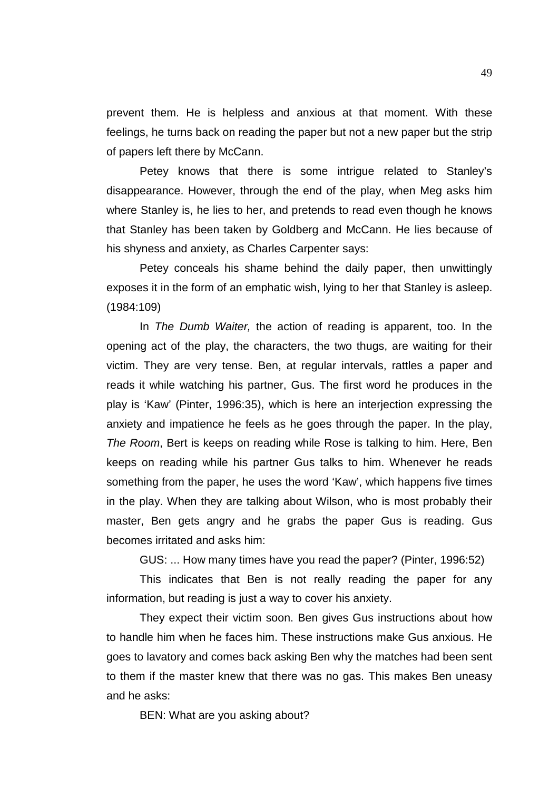prevent them. He is helpless and anxious at that moment. With these feelings, he turns back on reading the paper but not a new paper but the strip of papers left there by McCann.

Petey knows that there is some intrigue related to Stanley's disappearance. However, through the end of the play, when Meg asks him where Stanley is, he lies to her, and pretends to read even though he knows that Stanley has been taken by Goldberg and McCann. He lies because of his shyness and anxiety, as Charles Carpenter says:

Petey conceals his shame behind the daily paper, then unwittingly exposes it in the form of an emphatic wish, lying to her that Stanley is asleep. (1984:109)

In *The Dumb Waiter,* the action of reading is apparent, too. In the opening act of the play, the characters, the two thugs, are waiting for their victim. They are very tense. Ben, at regular intervals, rattles a paper and reads it while watching his partner, Gus. The first word he produces in the play is 'Kaw' (Pinter, 1996:35), which is here an interjection expressing the anxiety and impatience he feels as he goes through the paper. In the play, *The Room*, Bert is keeps on reading while Rose is talking to him. Here, Ben keeps on reading while his partner Gus talks to him. Whenever he reads something from the paper, he uses the word 'Kaw', which happens five times in the play. When they are talking about Wilson, who is most probably their master, Ben gets angry and he grabs the paper Gus is reading. Gus becomes irritated and asks him:

GUS: ... How many times have you read the paper? (Pinter, 1996:52)

This indicates that Ben is not really reading the paper for any information, but reading is just a way to cover his anxiety.

They expect their victim soon. Ben gives Gus instructions about how to handle him when he faces him. These instructions make Gus anxious. He goes to lavatory and comes back asking Ben why the matches had been sent to them if the master knew that there was no gas. This makes Ben uneasy and he asks:

BEN: What are you asking about?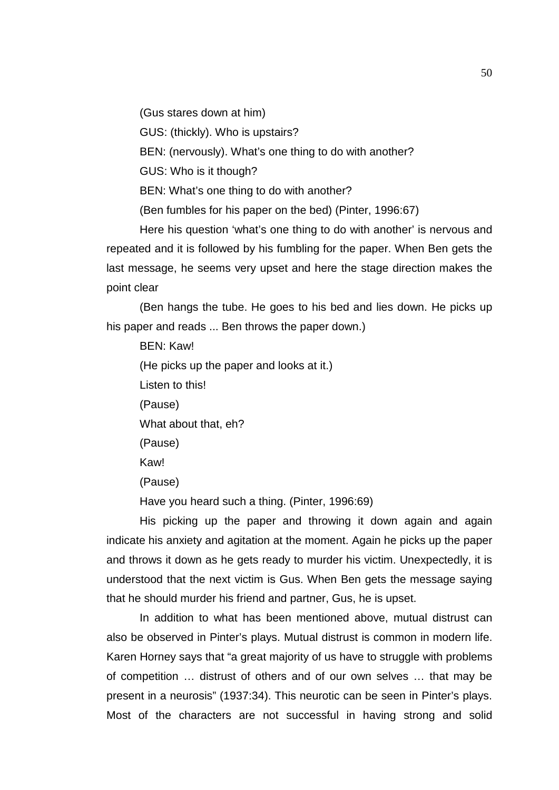(Gus stares down at him)

GUS: (thickly). Who is upstairs?

BEN: (nervously). What's one thing to do with another?

GUS: Who is it though?

BEN: What's one thing to do with another?

(Ben fumbles for his paper on the bed) (Pinter, 1996:67)

Here his question 'what's one thing to do with another' is nervous and repeated and it is followed by his fumbling for the paper. When Ben gets the last message, he seems very upset and here the stage direction makes the point clear

(Ben hangs the tube. He goes to his bed and lies down. He picks up his paper and reads ... Ben throws the paper down.)

BEN: Kaw! (He picks up the paper and looks at it.) Listen to this! (Pause) What about that, eh? (Pause) Kaw! (Pause)

Have you heard such a thing. (Pinter, 1996:69)

His picking up the paper and throwing it down again and again indicate his anxiety and agitation at the moment. Again he picks up the paper and throws it down as he gets ready to murder his victim. Unexpectedly, it is understood that the next victim is Gus. When Ben gets the message saying that he should murder his friend and partner, Gus, he is upset.

In addition to what has been mentioned above, mutual distrust can also be observed in Pinter's plays. Mutual distrust is common in modern life. Karen Horney says that "a great majority of us have to struggle with problems of competition … distrust of others and of our own selves … that may be present in a neurosis" (1937:34). This neurotic can be seen in Pinter's plays. Most of the characters are not successful in having strong and solid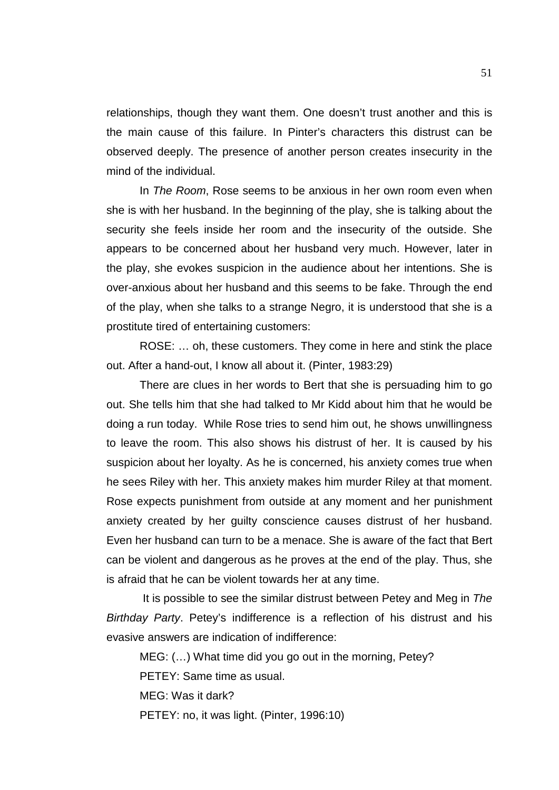relationships, though they want them. One doesn't trust another and this is the main cause of this failure. In Pinter's characters this distrust can be observed deeply. The presence of another person creates insecurity in the mind of the individual.

In *The Room*, Rose seems to be anxious in her own room even when she is with her husband. In the beginning of the play, she is talking about the security she feels inside her room and the insecurity of the outside. She appears to be concerned about her husband very much. However, later in the play, she evokes suspicion in the audience about her intentions. She is over-anxious about her husband and this seems to be fake. Through the end of the play, when she talks to a strange Negro, it is understood that she is a prostitute tired of entertaining customers:

ROSE: … oh, these customers. They come in here and stink the place out. After a hand-out, I know all about it. (Pinter, 1983:29)

There are clues in her words to Bert that she is persuading him to go out. She tells him that she had talked to Mr Kidd about him that he would be doing a run today. While Rose tries to send him out, he shows unwillingness to leave the room. This also shows his distrust of her. It is caused by his suspicion about her loyalty. As he is concerned, his anxiety comes true when he sees Riley with her. This anxiety makes him murder Riley at that moment. Rose expects punishment from outside at any moment and her punishment anxiety created by her guilty conscience causes distrust of her husband. Even her husband can turn to be a menace. She is aware of the fact that Bert can be violent and dangerous as he proves at the end of the play. Thus, she is afraid that he can be violent towards her at any time.

It is possible to see the similar distrust between Petey and Meg in *The Birthday Party*. Petey's indifference is a reflection of his distrust and his evasive answers are indication of indifference:

MEG: (…) What time did you go out in the morning, Petey?

PETEY: Same time as usual.

MEG: Was it dark?

PETEY: no, it was light. (Pinter, 1996:10)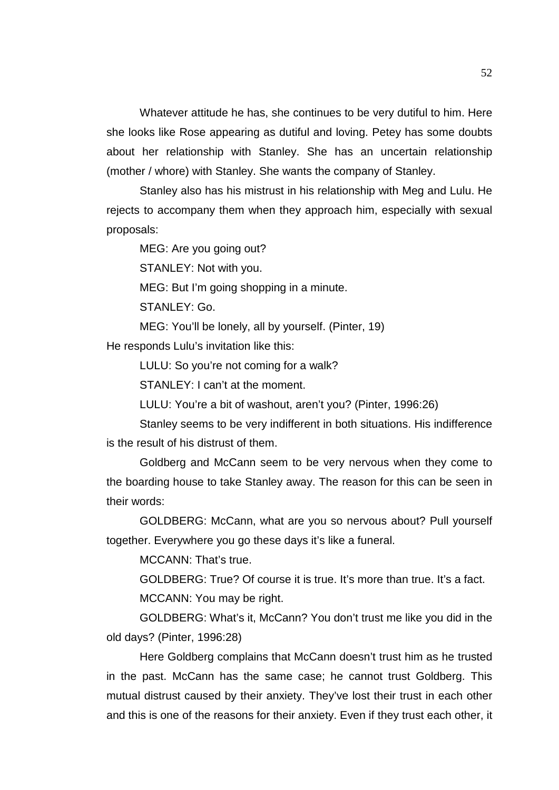Whatever attitude he has, she continues to be very dutiful to him. Here she looks like Rose appearing as dutiful and loving. Petey has some doubts about her relationship with Stanley. She has an uncertain relationship (mother / whore) with Stanley. She wants the company of Stanley.

Stanley also has his mistrust in his relationship with Meg and Lulu. He rejects to accompany them when they approach him, especially with sexual proposals:

MEG: Are you going out?

STANLEY: Not with you.

MEG: But I'm going shopping in a minute.

STANLEY: Go.

MEG: You'll be lonely, all by yourself. (Pinter, 19)

He responds Lulu's invitation like this:

LULU: So you're not coming for a walk?

STANLEY: I can't at the moment.

LULU: You're a bit of washout, aren't you? (Pinter, 1996:26)

Stanley seems to be very indifferent in both situations. His indifference is the result of his distrust of them.

Goldberg and McCann seem to be very nervous when they come to the boarding house to take Stanley away. The reason for this can be seen in their words:

GOLDBERG: McCann, what are you so nervous about? Pull yourself together. Everywhere you go these days it's like a funeral.

MCCANN: That's true.

GOLDBERG: True? Of course it is true. It's more than true. It's a fact. MCCANN: You may be right.

GOLDBERG: What's it, McCann? You don't trust me like you did in the old days? (Pinter, 1996:28)

Here Goldberg complains that McCann doesn't trust him as he trusted in the past. McCann has the same case; he cannot trust Goldberg. This mutual distrust caused by their anxiety. They've lost their trust in each other and this is one of the reasons for their anxiety. Even if they trust each other, it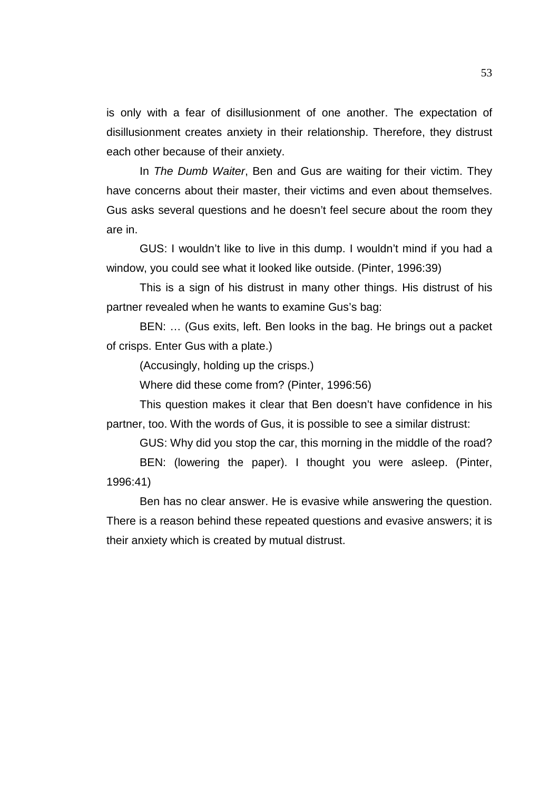is only with a fear of disillusionment of one another. The expectation of disillusionment creates anxiety in their relationship. Therefore, they distrust each other because of their anxiety.

In *The Dumb Waiter*, Ben and Gus are waiting for their victim. They have concerns about their master, their victims and even about themselves. Gus asks several questions and he doesn't feel secure about the room they are in.

GUS: I wouldn't like to live in this dump. I wouldn't mind if you had a window, you could see what it looked like outside. (Pinter, 1996:39)

This is a sign of his distrust in many other things. His distrust of his partner revealed when he wants to examine Gus's bag:

BEN: … (Gus exits, left. Ben looks in the bag. He brings out a packet of crisps. Enter Gus with a plate.)

(Accusingly, holding up the crisps.)

Where did these come from? (Pinter, 1996:56)

This question makes it clear that Ben doesn't have confidence in his partner, too. With the words of Gus, it is possible to see a similar distrust:

GUS: Why did you stop the car, this morning in the middle of the road?

BEN: (lowering the paper). I thought you were asleep. (Pinter, 1996:41)

Ben has no clear answer. He is evasive while answering the question. There is a reason behind these repeated questions and evasive answers; it is their anxiety which is created by mutual distrust.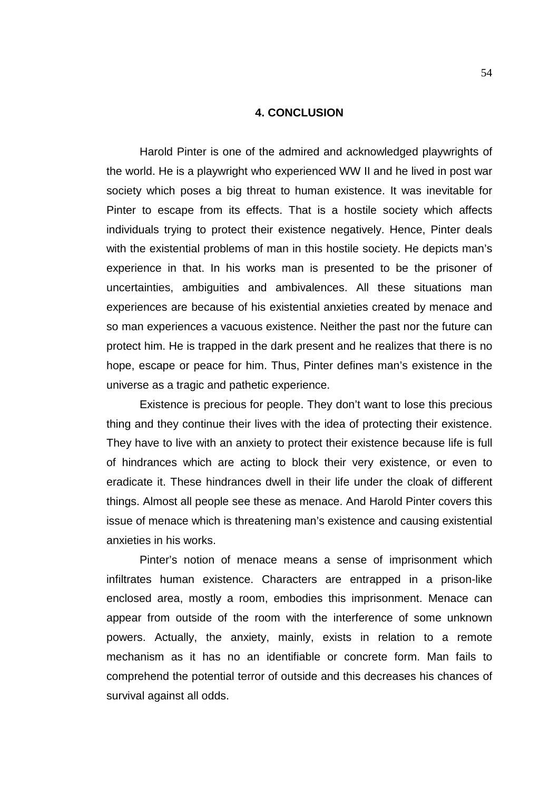### **4. CONCLUSION**

Harold Pinter is one of the admired and acknowledged playwrights of the world. He is a playwright who experienced WW II and he lived in post war society which poses a big threat to human existence. It was inevitable for Pinter to escape from its effects. That is a hostile society which affects individuals trying to protect their existence negatively. Hence, Pinter deals with the existential problems of man in this hostile society. He depicts man's experience in that. In his works man is presented to be the prisoner of uncertainties, ambiguities and ambivalences. All these situations man experiences are because of his existential anxieties created by menace and so man experiences a vacuous existence. Neither the past nor the future can protect him. He is trapped in the dark present and he realizes that there is no hope, escape or peace for him. Thus, Pinter defines man's existence in the universe as a tragic and pathetic experience.

Existence is precious for people. They don't want to lose this precious thing and they continue their lives with the idea of protecting their existence. They have to live with an anxiety to protect their existence because life is full of hindrances which are acting to block their very existence, or even to eradicate it. These hindrances dwell in their life under the cloak of different things. Almost all people see these as menace. And Harold Pinter covers this issue of menace which is threatening man's existence and causing existential anxieties in his works.

Pinter's notion of menace means a sense of imprisonment which infiltrates human existence. Characters are entrapped in a prison-like enclosed area, mostly a room, embodies this imprisonment. Menace can appear from outside of the room with the interference of some unknown powers. Actually, the anxiety, mainly, exists in relation to a remote mechanism as it has no an identifiable or concrete form. Man fails to comprehend the potential terror of outside and this decreases his chances of survival against all odds.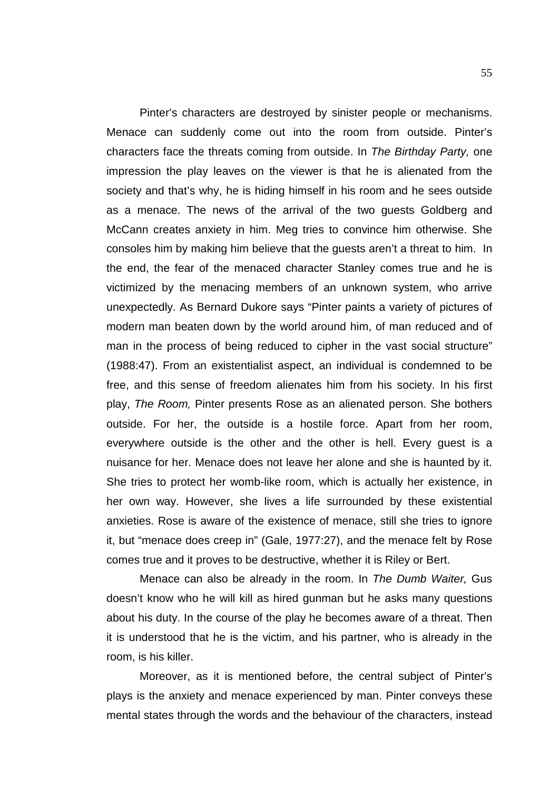Pinter's characters are destroyed by sinister people or mechanisms. Menace can suddenly come out into the room from outside. Pinter's characters face the threats coming from outside. In *The Birthday Party,* one impression the play leaves on the viewer is that he is alienated from the society and that's why, he is hiding himself in his room and he sees outside as a menace. The news of the arrival of the two guests Goldberg and McCann creates anxiety in him. Meg tries to convince him otherwise. She consoles him by making him believe that the guests aren't a threat to him. In the end, the fear of the menaced character Stanley comes true and he is victimized by the menacing members of an unknown system, who arrive unexpectedly. As Bernard Dukore says "Pinter paints a variety of pictures of modern man beaten down by the world around him, of man reduced and of man in the process of being reduced to cipher in the vast social structure" (1988:47). From an existentialist aspect, an individual is condemned to be free, and this sense of freedom alienates him from his society. In his first play, *The Room,* Pinter presents Rose as an alienated person. She bothers outside. For her, the outside is a hostile force. Apart from her room, everywhere outside is the other and the other is hell. Every guest is a nuisance for her. Menace does not leave her alone and she is haunted by it. She tries to protect her womb-like room, which is actually her existence, in her own way. However, she lives a life surrounded by these existential anxieties. Rose is aware of the existence of menace, still she tries to ignore it, but "menace does creep in" (Gale, 1977:27), and the menace felt by Rose comes true and it proves to be destructive, whether it is Riley or Bert.

Menace can also be already in the room. In *The Dumb Waiter,* Gus doesn't know who he will kill as hired gunman but he asks many questions about his duty. In the course of the play he becomes aware of a threat. Then it is understood that he is the victim, and his partner, who is already in the room, is his killer.

Moreover, as it is mentioned before, the central subject of Pinter's plays is the anxiety and menace experienced by man. Pinter conveys these mental states through the words and the behaviour of the characters, instead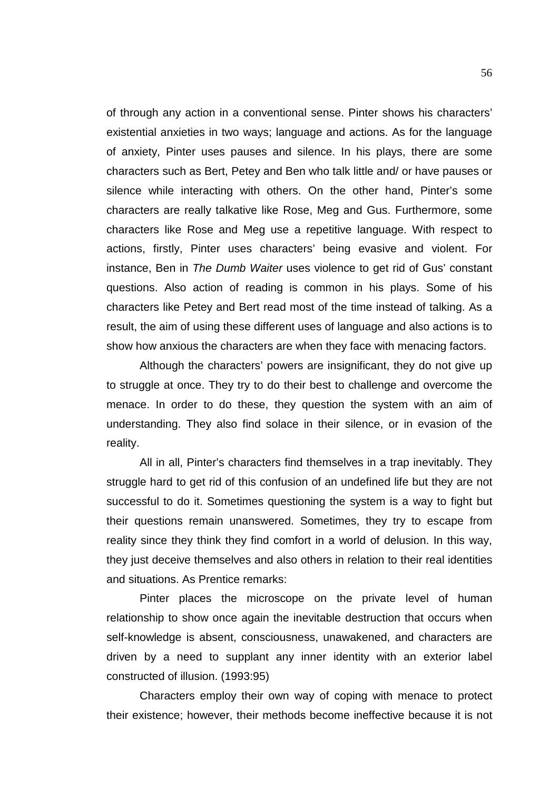of through any action in a conventional sense. Pinter shows his characters' existential anxieties in two ways; language and actions. As for the language of anxiety, Pinter uses pauses and silence. In his plays, there are some characters such as Bert, Petey and Ben who talk little and/ or have pauses or silence while interacting with others. On the other hand, Pinter's some characters are really talkative like Rose, Meg and Gus. Furthermore, some characters like Rose and Meg use a repetitive language. With respect to actions, firstly, Pinter uses characters' being evasive and violent. For instance, Ben in *The Dumb Waiter* uses violence to get rid of Gus' constant questions. Also action of reading is common in his plays. Some of his characters like Petey and Bert read most of the time instead of talking. As a result, the aim of using these different uses of language and also actions is to show how anxious the characters are when they face with menacing factors.

Although the characters' powers are insignificant, they do not give up to struggle at once. They try to do their best to challenge and overcome the menace. In order to do these, they question the system with an aim of understanding. They also find solace in their silence, or in evasion of the reality.

All in all, Pinter's characters find themselves in a trap inevitably. They struggle hard to get rid of this confusion of an undefined life but they are not successful to do it. Sometimes questioning the system is a way to fight but their questions remain unanswered. Sometimes, they try to escape from reality since they think they find comfort in a world of delusion. In this way, they just deceive themselves and also others in relation to their real identities and situations. As Prentice remarks:

Pinter places the microscope on the private level of human relationship to show once again the inevitable destruction that occurs when self-knowledge is absent, consciousness, unawakened, and characters are driven by a need to supplant any inner identity with an exterior label constructed of illusion. (1993:95)

Characters employ their own way of coping with menace to protect their existence; however, their methods become ineffective because it is not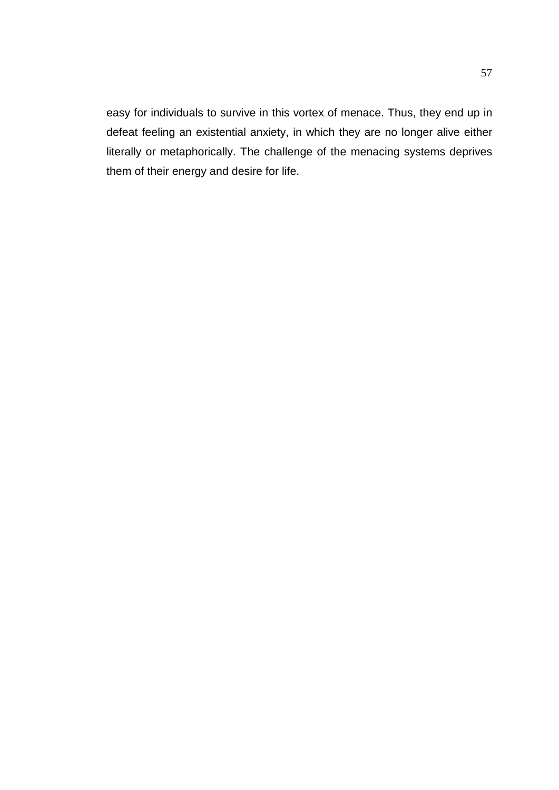easy for individuals to survive in this vortex of menace. Thus, they end up in defeat feeling an existential anxiety, in which they are no longer alive either literally or metaphorically. The challenge of the menacing systems deprives them of their energy and desire for life.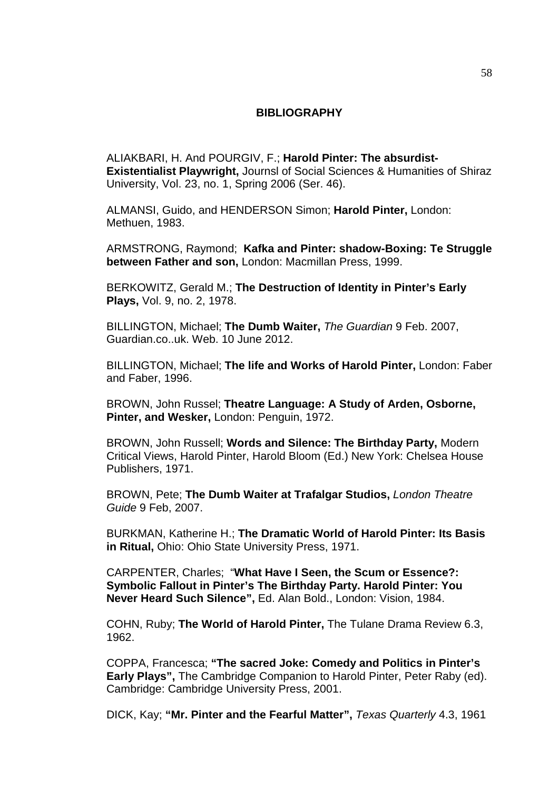## **BIBLIOGRAPHY**

ALIAKBARI, H. And POURGIV, F.; **Harold Pinter: The absurdist-Existentialist Playwright,** Journsl of Social Sciences & Humanities of Shiraz University, Vol. 23, no. 1, Spring 2006 (Ser. 46).

ALMANSI, Guido, and HENDERSON Simon; **Harold Pinter,** London: Methuen, 1983.

ARMSTRONG, Raymond; **Kafka and Pinter: shadow-Boxing: Te Struggle between Father and son,** London: Macmillan Press, 1999.

BERKOWITZ, Gerald M.; **The Destruction of Identity in Pinter's Early Plays,** Vol. 9, no. 2, 1978.

BILLINGTON, Michael; **The Dumb Waiter,** *The Guardian* 9 Feb. 2007, Guardian.co..uk. Web. 10 June 2012.

BILLINGTON, Michael; **The life and Works of Harold Pinter,** London: Faber and Faber, 1996.

BROWN, John Russel; **Theatre Language: A Study of Arden, Osborne, Pinter, and Wesker,** London: Penguin, 1972.

BROWN, John Russell; **Words and Silence: The Birthday Party,** Modern Critical Views, Harold Pinter, Harold Bloom (Ed.) New York: Chelsea House Publishers, 1971.

BROWN, Pete; **The Dumb Waiter at Trafalgar Studios,** *London Theatre Guide* 9 Feb, 2007.

BURKMAN, Katherine H.; **The Dramatic World of Harold Pinter: Its Basis in Ritual,** Ohio: Ohio State University Press, 1971.

CARPENTER, Charles; "**What Have I Seen, the Scum or Essence?: Symbolic Fallout in Pinter's The Birthday Party. Harold Pinter: You Never Heard Such Silence",** Ed. Alan Bold., London: Vision, 1984.

COHN, Ruby; **The World of Harold Pinter,** The Tulane Drama Review 6.3, 1962.

COPPA, Francesca; **"The sacred Joke: Comedy and Politics in Pinter's Early Plays",** The Cambridge Companion to Harold Pinter, Peter Raby (ed). Cambridge: Cambridge University Press, 2001.

DICK, Kay; **"Mr. Pinter and the Fearful Matter",** *Texas Quarterly* 4.3, 1961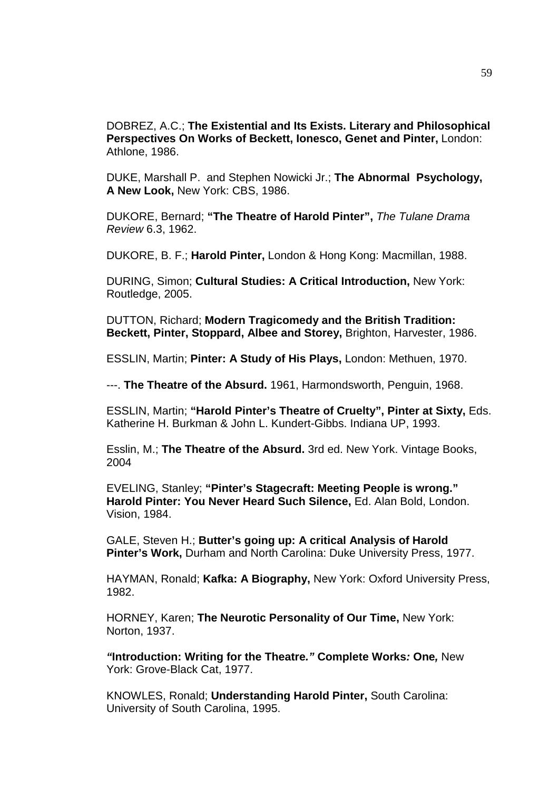DOBREZ, A.C.; **The Existential and Its Exists. Literary and Philosophical Perspectives On Works of Beckett, Ionesco, Genet and Pinter,** London: Athlone, 1986.

DUKE, Marshall P. and Stephen Nowicki Jr.; **The Abnormal Psychology, A New Look,** New York: CBS, 1986.

DUKORE, Bernard; **"The Theatre of Harold Pinter",** *The Tulane Drama Review* 6.3, 1962.

DUKORE, B. F.; **Harold Pinter,** London & Hong Kong: Macmillan, 1988.

DURING, Simon; **Cultural Studies: A Critical Introduction,** New York: Routledge, 2005.

DUTTON, Richard; **Modern Tragicomedy and the British Tradition: Beckett, Pinter, Stoppard, Albee and Storey,** Brighton, Harvester, 1986.

ESSLIN, Martin; **Pinter: A Study of His Plays,** London: Methuen, 1970.

---. **The Theatre of the Absurd.** 1961, Harmondsworth, Penguin, 1968.

ESSLIN, Martin; **"Harold Pinter's Theatre of Cruelty", Pinter at Sixty,** Eds. Katherine H. Burkman & John L. Kundert-Gibbs. Indiana UP, 1993.

Esslin, M.; **The Theatre of the Absurd.** 3rd ed. New York. Vintage Books, 2004

EVELING, Stanley; **"Pinter's Stagecraft: Meeting People is wrong." Harold Pinter: You Never Heard Such Silence,** Ed. Alan Bold, London. Vision, 1984.

GALE, Steven H.; **Butter's going up: A critical Analysis of Harold Pinter's Work,** Durham and North Carolina: Duke University Press, 1977.

HAYMAN, Ronald; **Kafka: A Biography,** New York: Oxford University Press, 1982.

HORNEY, Karen; **The Neurotic Personality of Our Time,** New York: Norton, 1937.

*"***Introduction: Writing for the Theatre***."* **Complete Works***:* **One***,* New York: Grove-Black Cat, 1977.

KNOWLES, Ronald; **Understanding Harold Pinter,** South Carolina: University of South Carolina, 1995.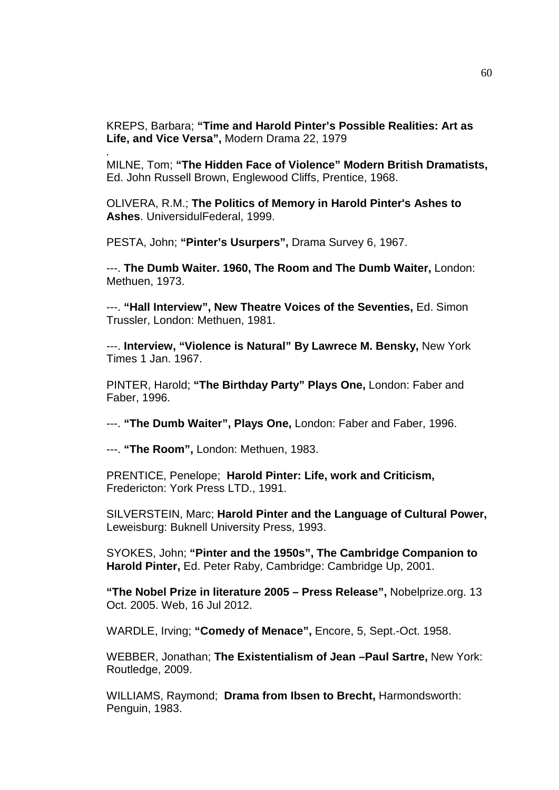KREPS, Barbara; **"Time and Harold Pinter's Possible Realities: Art as Life, and Vice Versa",** Modern Drama 22, 1979

MILNE, Tom; **"The Hidden Face of Violence" Modern British Dramatists,** Ed. John Russell Brown, Englewood Cliffs, Prentice, 1968.

OLIVERA, R.M.; **The Politics of Memory in Harold Pinter's Ashes to Ashes**. UniversidulFederal, 1999.

PESTA, John; **"Pinter's Usurpers",** Drama Survey 6, 1967.

---. **The Dumb Waiter. 1960, The Room and The Dumb Waiter,** London: Methuen, 1973.

---. **"Hall Interview", New Theatre Voices of the Seventies,** Ed. Simon Trussler, London: Methuen, 1981.

---. **Interview, "Violence is Natural" By Lawrece M. Bensky,** New York Times 1 Jan. 1967.

PINTER, Harold; **"The Birthday Party" Plays One,** London: Faber and Faber, 1996.

---. **"The Dumb Waiter", Plays One,** London: Faber and Faber, 1996.

---. **"The Room",** London: Methuen, 1983.

*.*

PRENTICE, Penelope; **Harold Pinter: Life, work and Criticism,** Fredericton: York Press LTD., 1991.

SILVERSTEIN, Marc; **Harold Pinter and the Language of Cultural Power,** Leweisburg: Buknell University Press, 1993.

SYOKES, John; **"Pinter and the 1950s", The Cambridge Companion to Harold Pinter,** Ed. Peter Raby, Cambridge: Cambridge Up, 2001.

**"The Nobel Prize in literature 2005 – Press Release",** Nobelprize.org. 13 Oct. 2005. Web, 16 Jul 2012.

WARDLE, Irving; **"Comedy of Menace",** Encore, 5, Sept.-Oct. 1958.

WEBBER, Jonathan; **The Existentialism of Jean –Paul Sartre,** New York: Routledge, 2009.

WILLIAMS, Raymond; **Drama from Ibsen to Brecht,** Harmondsworth: Penguin, 1983.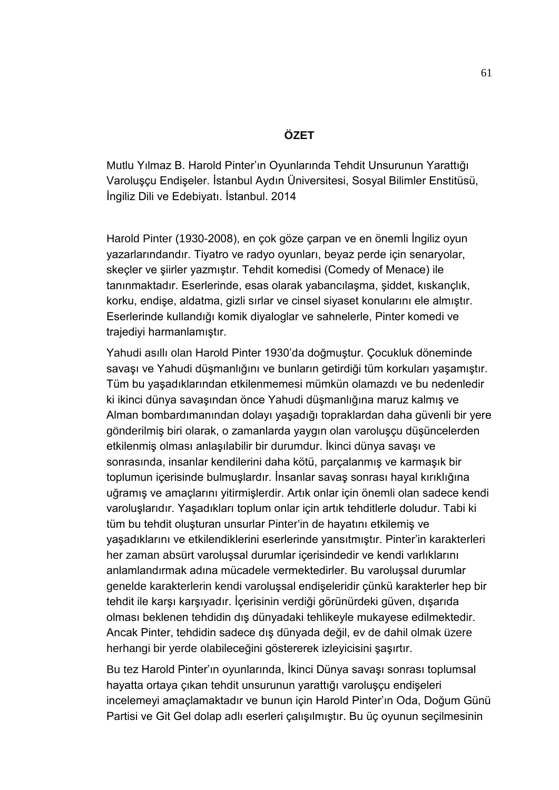# **ÖZET**

Mutlu Yılmaz B. Harold Pinter'ın Oyunlarında Tehdit Unsurunun Yarattığı Varoluşçu Endişeler. İstanbul Aydın Üniversitesi, Sosyal Bilimler Enstitüsü, İngiliz Dili ve Edebiyatı. İstanbul. 2014

Harold Pinter (1930-2008), en çok göze çarpan ve en önemli İngiliz oyun yazarlarındandır. Tiyatro ve radyo oyunları, beyaz perde için senaryolar, skeçler ve şiirler yazmıştır. Tehdit komedisi (Comedy of Menace) ile tanınmaktadır. Eserlerinde, esas olarak yabancılaşma, şiddet, kıskançlık, korku, endişe, aldatma, gizli sırlar ve cinsel siyaset konularını ele almıştır. Eserlerinde kullandığı komik diyaloglar ve sahnelerle, Pinter komedi ve trajediyi harmanlamıştır.

Yahudi asıllı olan Harold Pinter 1930'da doğmuştur. Çocukluk döneminde savaşı ve Yahudi düşmanlığını ve bunların getirdiği tüm korkuları yaşamıştır. Tüm bu yaşadıklarından etkilenmemesi mümkün olamazdı ve bu nedenledir ki ikinci dünya savaşından önce Yahudi düşmanlığına maruz kalmış ve Alman bombardımanından dolayı yaşadığı topraklardan daha güvenli bir yere gönderilmiş biri olarak, o zamanlarda yaygın olan varoluşçu düşüncelerden etkilenmiş olması anlaşılabilir bir durumdur. İkinci dünya savaşı ve sonrasında, insanlar kendilerini daha kötü, parçalanmış ve karmaşık bir toplumun içerisinde bulmuşlardır. İnsanlar savaş sonrası hayal kırıklığına uğramış ve amaçlarını yitirmişlerdir. Artık onlar için önemli olan sadece kendi varoluşlarıdır. Yaşadıkları toplum onlar için artık tehditlerle doludur. Tabi ki tüm bu tehdit oluşturan unsurlar Pinter'in de hayatını etkilemiş ve yaşadıklarını ve etkilendiklerini eserlerinde yansıtmıştır. Pinter'in karakterleri her zaman absürt varoluşsal durumlar içerisindedir ve kendi varlıklarını anlamlandırmak adına mücadele vermektedirler. Bu varoluşsal durumlar genelde karakterlerin kendi varoluşsal endişeleridir çünkü karakterler hep bir tehdit ile karşı karşıyadır. İçerisinin verdiği görünürdeki güven, dışarıda olması beklenen tehdidin dış dünyadaki tehlikeyle mukayese edilmektedir. Ancak Pinter, tehdidin sadece dış dünyada değil, ev de dahil olmak üzere herhangi bir yerde olabileceğini göstererek izleyicisini şaşırtır.

Bu tez Harold Pinter'ın oyunlarında, İkinci Dünya savaşı sonrası toplumsal hayatta ortaya çıkan tehdit unsurunun yarattığı varoluşçu endişeleri incelemeyi amaçlamaktadır ve bunun için Harold Pinter'ın Oda, Doğum Günü Partisi ve Git Gel dolap adlı eserleri çalışılmıştır. Bu üç oyunun seçilmesinin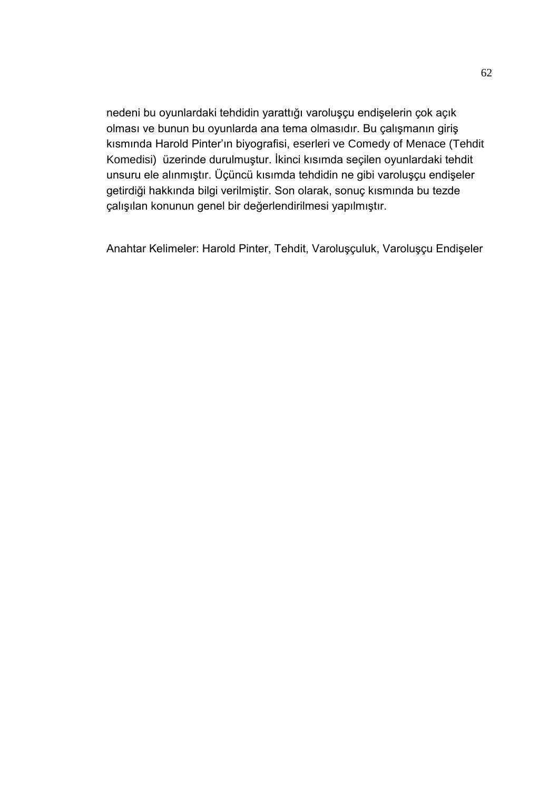nedeni bu oyunlardaki tehdidin yarattığı varoluşçu endişelerin çok açık olması ve bunun bu oyunlarda ana tema olmasıdır. Bu çalışmanın giriş kısmında Harold Pinter'ın biyografisi, eserleri ve Comedy of Menace (Tehdit Komedisi) üzerinde durulmuştur. İkinci kısımda seçilen oyunlardaki tehdit unsuru ele alınmıştır. Üçüncü kısımda tehdidin ne gibi varoluşçu endişeler getirdiği hakkında bilgi verilmiştir. Son olarak, sonuç kısmında bu tezde çalışılan konunun genel bir değerlendirilmesi yapılmıştır.

Anahtar Kelimeler: Harold Pinter, Tehdit, Varoluşçuluk, Varoluşçu Endişeler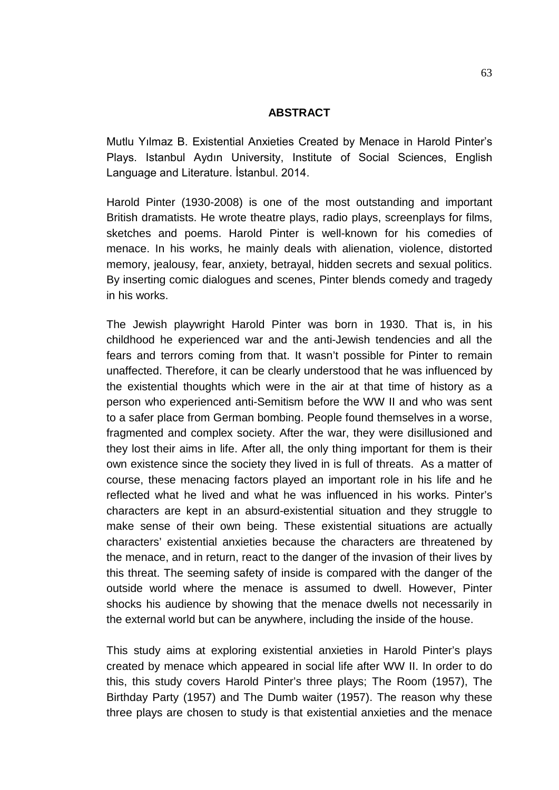### **ABSTRACT**

Mutlu Yılmaz B. Existential Anxieties Created by Menace in Harold Pinter's Plays. Istanbul Aydın University, Institute of Social Sciences, English Language and Literature. İstanbul. 2014.

Harold Pinter (1930-2008) is one of the most outstanding and important British dramatists. He wrote theatre plays, radio plays, screenplays for films, sketches and poems. Harold Pinter is well-known for his comedies of menace. In his works, he mainly deals with alienation, violence, distorted memory, jealousy, fear, anxiety, betrayal, hidden secrets and sexual politics. By inserting comic dialogues and scenes, Pinter blends comedy and tragedy in his works.

The Jewish playwright Harold Pinter was born in 1930. That is, in his childhood he experienced war and the anti-Jewish tendencies and all the fears and terrors coming from that. It wasn't possible for Pinter to remain unaffected. Therefore, it can be clearly understood that he was influenced by the existential thoughts which were in the air at that time of history as a person who experienced anti-Semitism before the WW II and who was sent to a safer place from German bombing. People found themselves in a worse, fragmented and complex society. After the war, they were disillusioned and they lost their aims in life. After all, the only thing important for them is their own existence since the society they lived in is full of threats. As a matter of course, these menacing factors played an important role in his life and he reflected what he lived and what he was influenced in his works. Pinter's characters are kept in an absurd-existential situation and they struggle to make sense of their own being. These existential situations are actually characters' existential anxieties because the characters are threatened by the menace, and in return, react to the danger of the invasion of their lives by this threat. The seeming safety of inside is compared with the danger of the outside world where the menace is assumed to dwell. However, Pinter shocks his audience by showing that the menace dwells not necessarily in the external world but can be anywhere, including the inside of the house.

This study aims at exploring existential anxieties in Harold Pinter's plays created by menace which appeared in social life after WW II. In order to do this, this study covers Harold Pinter's three plays; The Room (1957), The Birthday Party (1957) and The Dumb waiter (1957). The reason why these three plays are chosen to study is that existential anxieties and the menace